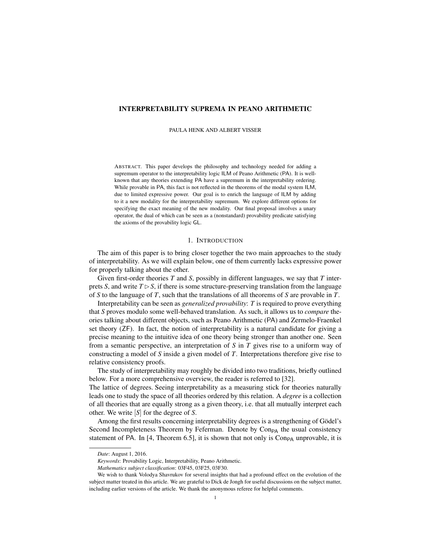# INTERPRETABILITY SUPREMA IN PEANO ARITHMETIC

PAULA HENK AND ALBERT VISSER

ABSTRACT. This paper develops the philosophy and technology needed for adding a supremum operator to the interpretability logic ILM of Peano Arithmetic (PA). It is wellknown that any theories extending PA have a supremum in the interpretability ordering. While provable in PA, this fact is not reflected in the theorems of the modal system ILM, due to limited expressive power. Our goal is to enrich the language of ILM by adding to it a new modality for the interpretability supremum. We explore different options for specifying the exact meaning of the new modality. Our final proposal involves a unary operator, the dual of which can be seen as a (nonstandard) provability predicate satisfying the axioms of the provability logic GL.

# 1. INTRODUCTION

The aim of this paper is to bring closer together the two main approaches to the study of interpretability. As we will explain below, one of them currently lacks expressive power for properly talking about the other.

Given first-order theories *T* and *S*, possibly in different languages, we say that *T* interprets *S*, and write  $T \triangleright S$ , if there is some structure-preserving translation from the language of *S* to the language of *T*, such that the translations of all theorems of *S* are provable in *T*.

Interpretability can be seen as *generalized provability*: *T* is required to prove everything that *S* proves modulo some well-behaved translation. As such, it allows us to *compare* theories talking about different objects, such as Peano Arithmetic (PA) and Zermelo-Fraenkel set theory (ZF). In fact, the notion of interpretability is a natural candidate for giving a precise meaning to the intuitive idea of one theory being stronger than another one. Seen from a semantic perspective, an interpretation of *S* in *T* gives rise to a uniform way of constructing a model of *S* inside a given model of *T*. Interpretations therefore give rise to relative consistency proofs.

The study of interpretability may roughly be divided into two traditions, briefly outlined below. For a more comprehensive overview, the reader is referred to [32].

The lattice of degrees. Seeing interpretability as a measuring stick for theories naturally leads one to study the space of all theories ordered by this relation. A *degree* is a collection of all theories that are equally strong as a given theory, i.e. that all mutually interpret each other. We write [*S*] for the degree of *S*.

Among the first results concerning interpretability degrees is a strengthening of Gödel's Second Incompleteness Theorem by Feferman. Denote by  $\text{Con}_{\text{PA}}$  the usual consistency statement of PA. In [4, Theorem 6.5], it is shown that not only is  $\text{Con}_{\text{PA}}$  unprovable, it is

*Date*: August 1, 2016.

*Keywords*: Provability Logic, Interpretability, Peano Arithmetic.

*Mathematics subject classification*: 03F45, 03F25, 03F30.

We wish to thank Volodya Shavrukov for several insights that had a profound effect on the evolution of the subject matter treated in this article. We are grateful to Dick de Jongh for useful discussions on the subject matter, including earlier versions of the article. We thank the anonymous referee for helpful comments.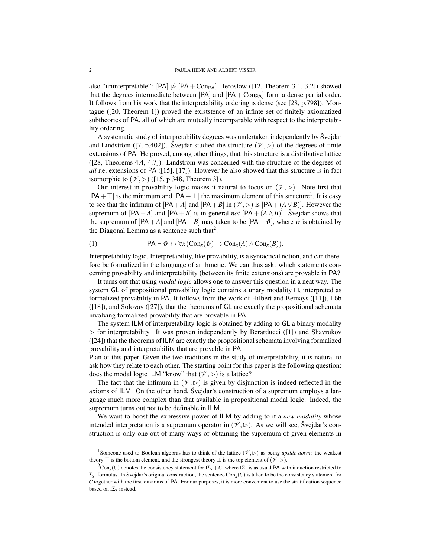#### 2 PAULA HENK AND ALBERT VISSER

also "uninterpretable":  $[PA] \not\triangleright [PA + Con_{PA}]$ . Jeroslow ([12, Theorem 3.1, 3.2]) showed that the degrees intermediate between  $[PA]$  and  $[PA + Comp<sub>A</sub>]$  form a dense partial order. It follows from his work that the interpretability ordering is dense (see [28, p.798]). Montague ([20, Theorem 1]) proved the existstence of an infinte set of finitely axiomatized subtheories of PA, all of which are mutually incomparable with respect to the interpretability ordering.

A systematic study of interpretability degrees was undertaken independently by Svejdar and Lindström ([7, p.402]). Švejdar studied the structure  $(\mathcal{V}, \rhd)$  of the degrees of finite extensions of PA. He proved, among other things, that this structure is a distributive lattice  $([28, Theorems 4.4, 4.7])$ . Lindström was concerned with the structure of the degrees of *all* r.e. extensions of PA ([15], [17]). However he also showed that this structure is in fact isomorphic to  $(\mathcal{V}, \triangleright)$  ([15, p.348, Theorem 3]).

Our interest in provability logic makes it natural to focus on  $(\mathscr{V}, \triangleright)$ . Note first that  $[PA+T]$  is the minimum and  $[PA+L]$  the maximum element of this structure<sup>1</sup>. It is easy to see that the infimum of  $[PA+A]$  and  $[PA+B]$  in  $(\mathcal{V}, \triangleright)$  is  $[PA+(A\vee B)]$ . However the supremum of  $[PA + A]$  and  $[PA + B]$  is in general *not*  $[PA + (A \wedge B)]$ . Švejdar shows that the supremum of  $[PA+A]$  and  $[PA+B]$  may taken to be  $[PA+\vartheta]$ , where  $\vartheta$  is obtained by the Diagonal Lemma as a sentence such that<sup>2</sup>:

(1) 
$$
\mathsf{PA}\vdash \vartheta \leftrightarrow \forall x\, (\mathsf{Con}_x(\vartheta) \to \mathsf{Con}_x(A) \land \mathsf{Con}_x(B)).
$$

Interpretability logic. Interpretability, like provability, is a syntactical notion, and can therefore be formalized in the language of arithmetic. We can thus ask: which statements concerning provability and interpretability (between its finite extensions) are provable in PA?

It turns out that using *modal logic* allows one to answer this question in a neat way. The system GL of propositional provability logic contains a unary modality  $\Box$ , interpreted as formalized provability in PA. It follows from the work of Hilbert and Bernays  $([11])$ , Löb  $([18])$ , and Solovay  $([27])$ , that the theorems of GL are exactly the propositional schemata involving formalized provability that are provable in PA.

The system ILM of interpretability logic is obtained by adding to GL a binary modality  $\triangleright$  for interpretability. It was proven independently by Berarducci ([1]) and Shavrukov ([24]) that the theorems of ILM are exactly the propositional schemata involving formalized provability and interpretability that are provable in PA.

Plan of this paper. Given the two traditions in the study of interpretability, it is natural to ask how they relate to each other. The starting point for this paper is the following question: does the modal logic ILM "know" that  $(\mathcal{V}, \triangleright)$  is a lattice?

The fact that the infimum in  $(\mathcal{V}, \rhd)$  is given by disjunction is indeed reflected in the axioms of  $ILM$ . On the other hand, Svejdar's construction of a supremum employs a language much more complex than that available in propositional modal logic. Indeed, the supremum turns out not to be definable in ILM.

We want to boost the expressive power of ILM by adding to it a *new modality* whose intended interpretation is a supremum operator in  $(\mathcal{V}, \triangleright)$ . As we will see, Svejdar's construction is only one out of many ways of obtaining the supremum of given elements in

<sup>&</sup>lt;sup>1</sup>Someone used to Boolean algebras has to think of the lattice  $(\mathscr{V}, \triangleright)$  as being *upside down*: the weakest theory  $\top$  is the bottom element, and the strongest theory  $\bot$  is the top element of  $(\mathscr{V}, \triangleright)$ .

<sup>&</sup>lt;sup>2</sup>Con<sub>*x*</sub>(*C*) denotes the consistency statement for IΣ<sub>*x*</sub> + *C*, where IΣ<sub>*x*</sub> is as usual PA with induction restricted to  $\Sigma_x$ –formulas. In Švejdar's original construction, the sentence Con<sub>x</sub>(C) is taken to be the consistency statement for *C* together with the first *x* axioms of PA. For our purposes, it is more convenient to use the stratification sequence based on IΣ*<sup>x</sup>* instead.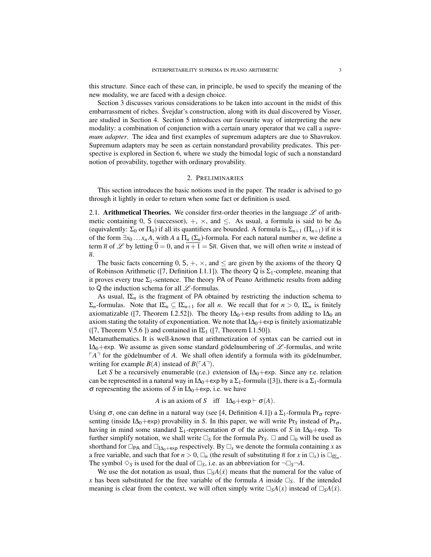this structure. Since each of these can, in principle, be used to specify the meaning of the new modality, we are faced with a design choice.

Section 3 discusses various considerations to be taken into account in the midst of this embarrassment of riches. Švejdar's construction, along with its dual discovered by Visser, are studied in Section 4. Section 5 introduces our favourite way of interpreting the new modality: a combination of conjunction with a certain unary operator that we call a *supremum adapter*. The idea and first examples of supremum adapters are due to Shavrukov. Supremum adapters may be seen as certain nonstandard provability predicates. This perspective is explored in Section 6, where we study the bimodal logic of such a nonstandard notion of provability, together with ordinary provability.

### 2. PRELIMINARIES

This section introduces the basic notions used in the paper. The reader is advised to go through it lightly in order to return when some fact or definition is used.

2.1. Arithmetical Theories. We consider first-order theories in the language  $\mathscr L$  of arithmetic containing 0, S (successor),  $+$ ,  $\times$ , and  $\leq$ . As usual, a formula is said to be  $\Delta_0$ (equivalently:  $\Sigma_0$  or  $\Pi_0$ ) if all its quantifiers are bounded. A formula is  $\Sigma_{n+1}$  ( $\Pi_{n+1}$ ) if it is of the form  $\exists x_0 \dots x_n A$ , with *A* a  $\Pi_n(\Sigma_n)$ -formula. For each natural number *n*, we define a term  $\bar{n}$  of L by letting  $\bar{0} = 0$ , and  $\bar{n} + 1 = \bar{5}\bar{n}$ . Given that, we will often write *n* instead of *n*.

The basic facts concerning 0, S,  $+$ ,  $\times$ , and  $\leq$  are given by the axioms of the theory Q of Robinson Arithmetic ([7, Definition I.1.1]). The theory Q is  $\Sigma_1$ -complete, meaning that it proves every true  $\Sigma_1$ -sentence. The theory PA of Peano Arithmetic results from adding to Q the induction schema for all  $\mathcal{L}$ -formulas.

As usual,  $I\Sigma_n$  is the fragment of PA obtained by restricting the induction schema to *Σ*<sub>*n*</sub>-formulas. Note that IΣ<sub>*n*</sub> ⊆ IΣ<sub>*n*+1</sub> for all *n*. We recall that for *n* > 0, IΣ<sub>*n*</sub> is finitely axiomatizable ([7, Theorem I.2.52]). The theory I $\Delta_0$ +exp results from adding to I $\Delta_0$  an axiom stating the totality of exponentiation. We note that  $IA_0$ +exp is finitely axiomatizable ([7, Theorem V.5.6 ]) and contained in  $\mathbb{E}_1$  ([7, Theorem I.1.50]).

Metamathematics. It is well-known that arithmetization of syntax can be carried out in I∆<sub>0</sub>+exp. We assume as given some standard godelnumbering of  $\mathscr{L}$ -formulas, and write  $\lceil A \rceil$  for the godelnumber of A. We shall often identify a formula with its godelnumber, writing for example  $B(A)$  instead of  $B(\ulcorner A \urcorner)$ .

Let *S* be a recursively enumerable (r.e.) extension of  $I\Delta_0$ +exp. Since any r.e. relation can be represented in a natural way in I $\Delta_0$ +exp by a  $\Sigma_1$ -formula ([3]), there is a  $\Sigma_1$ -formula  $\sigma$  representing the axioms of *S* in IΔ<sub>0</sub>+exp, i.e. we have

A is an axiom of S iff 
$$
I\Delta_0 + \exp \vdash \sigma(A)
$$
.

Using  $\sigma$ , one can define in a natural way (see [4, Definition 4.1]) a  $\Sigma_1$ -formula Pr $_{\sigma}$  representing (inside I $\Delta_0$ +exp) provability in *S*. In this paper, we will write Pr<sub>S</sub> instead of Pr<sub> $\sigma$ </sub>, having in mind some standard  $\Sigma_1$ -representation  $\sigma$  of the axioms of *S* in I $\Delta_0$ +exp. To further simplify notation, we shall write  $\Box_S$  for the formula Pr<sub>S</sub>.  $\Box$  and  $\Box_0$  will be used as shorthand for  $\Box_{\text{PA}}$  and  $\Box_{\text{IAo+exp}}$  respectively. By  $\Box_x$  we denote the formula containing *x* as a free variable, and such that for  $n > 0$ ,  $\Box_n$  (the result of substituting  $\overline{n}$  for  $x$  in  $\Box_x$ ) is  $\Box_{\underline{E}_n}$ . The symbol  $\Diamond$ <sub>S</sub> is used for the dual of  $\Box$ <sub>S</sub>, i.e. as an abbreviation for  $\neg \Box$ <sub>S</sub> $\neg A$ .

We use the dot notation as usual, thus  $\Box_S A(x)$  means that the numeral for the value of *x* has been substituted for the free variable of the formula *A* inside  $\Box$ <sub>S</sub>. If the intended meaning is clear from the context, we will often simply write  $\Box_S A(x)$  instead of  $\Box_S A(x)$ .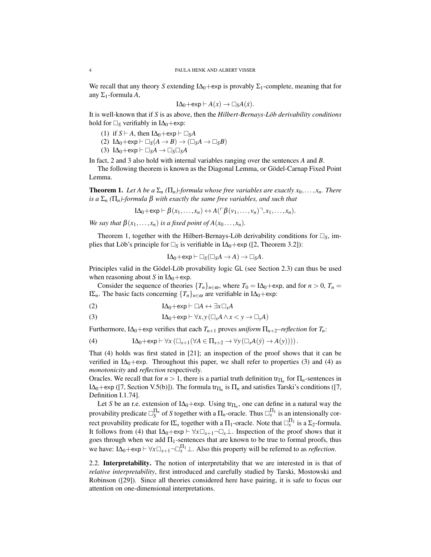We recall that any theory *S* extending  $I\Delta_0$ +exp is provably  $\Sigma_1$ -complete, meaning that for any  $\Sigma_1$ -formula A,

$$
I\Delta_0 + \exp \vdash A(x) \to \Box_S A(\dot{x}).
$$

It is well-known that if *S* is as above, then the *Hilbert-Bernays-Lob derivability conditions ¨* hold for  $\square$ <sub>S</sub> verifiably in I∆<sub>0</sub>+exp:

(1) if  $S \vdash A$ , then  $I\Delta_0 + \exp \vdash \Box_S A$ 

(2)  $I\Delta_0 + \exp \vdash \Box_S(A \to B) \to (\Box_S A \to \Box_S B)$ 

(3)  $I\Delta_0 + \exp \vdash \Box_S A \rightarrow \Box_S \Box_S A$ 

In fact, 2 and 3 also hold with internal variables ranging over the sentences *A* and *B*.

The following theorem is known as the Diagonal Lemma, or Gödel-Carnap Fixed Point Lemma.

**Theorem 1.** Let A be a  $\Sigma_n(\Pi_n)$ -formula whose free variables are exactly  $x_0, \ldots, x_n$ . There *is a* Σ*<sup>n</sup> (*Π*n)-formula* β *with exactly the same free variables, and such that*

 $I\Delta_0 + \exp \vdash \beta(x_1,\ldots,x_n) \leftrightarrow A(\ulcorner \beta(v_1,\ldots,v_n) \urcorner, x_1,\ldots,x_n).$ 

*We say that*  $\beta(x_1,...,x_n)$  *is a fixed point of*  $A(x_0,...,x_n)$ *.* 

Theorem 1, together with the Hilbert-Bernays-Löb derivability conditions for  $\square_S$ , implies that Löb's principle for  $\square_S$  is verifiable in  $\Lambda_0$ +exp ([2, Theorem 3.2]):

$$
I\Delta_0 + \exp \vdash \Box_S (\Box_S A \to A) \to \Box_S A.
$$

Principles valid in the Gödel-Löb provability logic  $GL$  (see Section 2.3) can thus be used when reasoning about *S* in  $IA<sub>0</sub>$ +exp.

Consider the sequence of theories  ${T_n}_{n \in \omega}$ , where  $T_0 = I\Delta_0 + \exp$ , and for  $n > 0$ ,  $T_n =$ I $\Sigma_n$ . The basic facts concerning  $\{T_n\}_{n\in\omega}$  are verifiable in I $\Delta_0$ +exp:

(2) 
$$
I\Delta_0 + \exp \vdash \Box A \leftrightarrow \exists x \Box_x A
$$

(3) 
$$
I\Delta_0 + \exp \vdash \forall x, y (\Box_x A \land x < y \to \Box_y A)
$$

Furthermore,  $I\Delta_0$ +exp verifies that each  $T_{n+1}$  proves *uniform*  $\Pi_{n+2}$ –*reflection* for  $T_n$ :

(4) 
$$
I\Delta_0 + \exp \vdash \forall x (\Box_{x+1} (\forall A \in \Pi_{x+2} \to \forall y (\Box_x A(y) \to A(y))))
$$

That (4) holds was first stated in [21]; an inspection of the proof shows that it can be verified in I∆<sub>0</sub>+exp. Throughout this paper, we shall refer to properties (3) and (4) as *monotonicity* and *reflection* respectively.

Oracles. We recall that for  $n > 1$ , there is a partial truth definition tr<sub> $\Pi_n$ </sub> for  $\Pi_n$ -sentences in I $\Delta_0$ +exp ([7, Section V.5(b)]). The formula tr<sub> $\Pi_n$ </sub> is  $\Pi_n$  and satisfies Tarski's conditions ([7, Definition I.1.74].

Let *S* be an r.e. extension of  $IA_0$ +exp. Using tr<sub> $\Pi_n$ </sub>, one can define in a natural way the provability predicate  $\Box_S^{\Pi_n}$  of *S* together with a  $\Pi_n$ -oracle. Thus  $\Box_x^{\Pi_1}$  is an intensionally correct provability predicate for I $\Sigma_x$  together with a  $\Pi_1$ -oracle. Note that  $\Box_x^{\Pi_1}$  is a  $\Sigma_2$ -formula. It follows from (4) that  $I\Delta_0 + \exp \vdash \forall x \Box_{x+1} \neg \Box_x \bot$ . Inspection of the proof shows that it goes through when we add  $\Pi_1$ -sentences that are known to be true to formal proofs, thus we have:  $I\Delta_0 + \exp \vdash \forall x \Box_{x+1} \neg \Box_x^{\Pi_1} \bot$ . Also this property will be referred to as *reflection*.

2.2. Interpretability. The notion of interpretability that we are interested in is that of *relative interpretability*, first introduced and carefully studied by Tarski, Mostowski and Robinson ([29]). Since all theories considered here have pairing, it is safe to focus our attention on one-dimensional interpretations.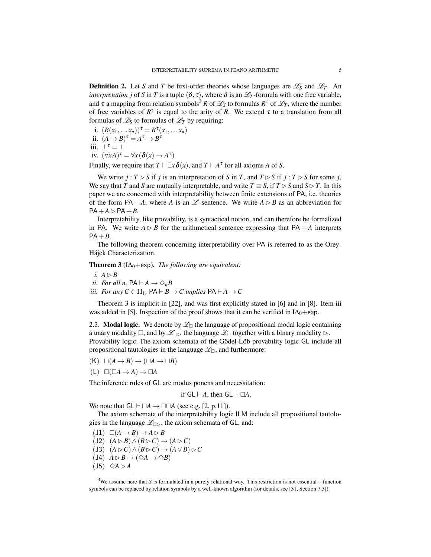**Definition 2.** Let *S* and *T* be first-order theories whose languages are  $\mathscr{L}_S$  and  $\mathscr{L}_T$ . An *interpretation j* of *S* in *T* is a tuple  $\langle \delta, \tau \rangle$ , where  $\delta$  is an  $\mathcal{L}_T$ -formula with one free variable, and  $\tau$  a mapping from relation symbols<sup>3</sup> R of  $\mathscr{L}_S$  to formulas  $R^{\tau}$  of  $\mathscr{L}_T$ , where the number of free variables of  $R^{\tau}$  is equal to the arity of *R*. We extend  $\tau$  to a translation from all formulas of  $\mathcal{L}_s$  to formulas of  $\mathcal{L}_T$  by requiring:

i.  $(R(x_1,...x_n))^{\tau} = R^{\tau}(x_1,...x_n)$ ii.  $(A \rightarrow B)^{\tau} = A^{\tau} \rightarrow B^{\tau}$ 

ii. 
$$
\perp^{\tau}
$$
 =  $\perp$ 

iv.  $(\forall x A)^{\tau} = \forall x (\delta(x) \rightarrow A^{\tau})$ 

Finally, we require that  $T \vdash \exists x \, \delta(x)$ , and  $T \vdash A^{\tau}$  for all axioms *A* of *S*.

We write  $j: T \triangleright S$  if *j* is an interpretation of *S* in *T*, and  $T \triangleright S$  if  $j: T \triangleright S$  for some *j*. We say that *T* and *S* are mutually interpretable, and write  $T \equiv S$ , if  $T \triangleright S$  and  $S \triangleright T$ . In this paper we are concerned with interpretability between finite extensions of PA, i.e. theories of the form  $PA + A$ , where *A* is an *L* -sentence. We write  $A \triangleright B$  as an abbreviation for  $PA + A \triangleright PA + B$ .

Interpretability, like provability, is a syntactical notion, and can therefore be formalized in PA. We write  $A \triangleright B$  for the arithmetical sentence expressing that  $PA + A$  interprets  $PA + B$ .

The following theorem concerning interpretability over PA is referred to as the Orey-Hajek Characterization. ´

**Theorem 3** ( $I\Delta_0$ +exp). *The following are equivalent:* 

*i.*  $A \triangleright B$ *ii. For all n,*  $PA \rightarrow \Diamond_n B$ *iii. For any*  $C \in \Pi_1$ ,  $PA \vdash B \rightarrow C$  *implies*  $PA \vdash A \rightarrow C$ 

Theorem 3 is implicit in [22], and was first explicitly stated in [6] and in [8]. Item iii was added in [5]. Inspection of the proof shows that it can be verified in I $\Delta_0$ +exp.

2.3. **Modal logic.** We denote by  $\mathcal{L}_{\Box}$  the language of propositional modal logic containing a unary modality  $\Box$ , and by  $\mathscr{L}_{\Box}$  the language  $\mathscr{L}_{\Box}$  together with a binary modality  $\triangleright$ . Provability logic. The axiom schemata of the Gödel-Löb provability logic  $GL$  include all propositional tautologies in the language  $\mathcal{L}_{\Box}$ , and furthermore:

- $(K) \square (A \rightarrow B) \rightarrow (\square A \rightarrow \square B)$
- $(L) \square (\square A \rightarrow A) \rightarrow \square A$

The inference rules of GL are modus ponens and necessitation:

if  $GL \vdash A$ , then  $GL \vdash \Box A$ .

We note that  $GL \vdash \Box A \rightarrow \Box \Box A$  (see e.g. [2, p.11]).

The axiom schemata of the interpretability logic ILM include all propositional tautologies in the language  $\mathscr{L}_{\Box}$ , the axiom schemata of GL, and:

- $(J1) \square (A \rightarrow B) \rightarrow A \triangleright B$
- $(J2)$   $(A \triangleright B) \wedge (B \triangleright C) \rightarrow (A \triangleright C)$
- $(\textsf{J3}) \ (A \triangleright C) \land (B \triangleright C) \rightarrow (A \lor B) \triangleright C$
- $(\bigcup A)$   $A \triangleright B \rightarrow (\Diamond A \rightarrow \Diamond B)$
- $(J5)$   $\diamond A \triangleright A$

 $3$ We assume here that *S* is formulated in a purely relational way. This restriction is not essential – function symbols can be replaced by relation symbols by a well-known algorithm (for details, see [31, Section 7.3]).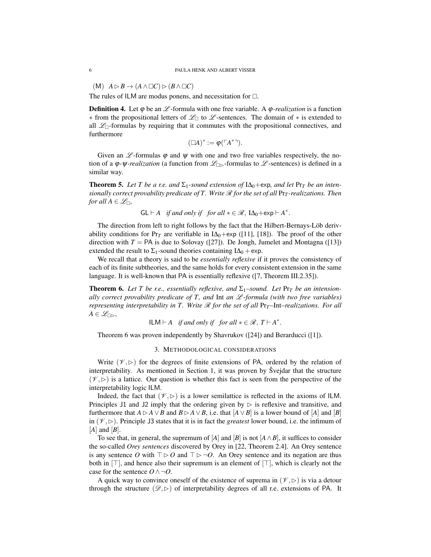$(M)$   $A \triangleright B \rightarrow (A \wedge \Box C) \triangleright (B \wedge \Box C)$ 

The rules of ILM are modus ponens, and necessitation for  $\Box$ .

**Definition 4.** Let  $\varphi$  be an  $\mathcal{L}$ -formula with one free variable. A  $\varphi$ -realization is a function ∗ from the propositional letters of  $\mathcal{L}_\Box$  to  $\mathcal{L}$ -sentences. The domain of  $*$  is extended to all  $\mathcal{L}_{\Box}$ -formulas by requiring that it commutes with the propositional connectives, and furthermore

$$
(\Box A)^* := \varphi(\ulcorner A^{*}\urcorner).
$$

Given an  $\mathscr L$ -formulas  $\varphi$  and  $\psi$  with one and two free variables respectively, the notion of a  $\varphi$ - $\psi$ -realization (a function from  $\mathscr{L}_{\Box}$ -formulas to  $\mathscr{L}$ -sentences) is defined in a similar way.

**Theorem 5.** Let T be a r.e. and  $\Sigma_1$ -sound extension of  $I\Delta_0$ +exp, and let  $Pr_T$  be an inten*sionally correct provability predicate of T. Write* R *for the set of all* Pr*<sup>T</sup> -realizations. Then for all*  $A \in \mathcal{L}_{\square}$ *,* 

$$
GL \vdash A \quad \text{if and only if} \quad \text{for all } * \in \mathcal{R}, \ L\Delta_0 + \exp \vdash A^*.
$$

The direction from left to right follows by the fact that the Hilbert-Bernays-Löb derivability conditions for Pr<sub>*T*</sub> are verifiable in  $I\Delta_0$ +exp ([11], [18]). The proof of the other direction with  $T = PA$  is due to Solovay ([27]). De Jongh, Jumelet and Montagna ([13]) extended the result to  $\Sigma_1$ -sound theories containing I $\Delta_0$  + exp.

We recall that a theory is said to be *essentially reflexive* if it proves the consistency of each of its finite subtheories, and the same holds for every consistent extension in the same language. It is well-known that PA is essentially reflexive ([7, Theorem III.2.35]).

**Theorem 6.** Let T be r.e., essentially reflexive, and  $\Sigma_1$ –sound. Let  $Pr_T$  be an intension*ally correct provability predicate of T, and* Int *an* L *-formula (with two free variables) representing interpretability in T. Write*  $\mathcal{R}$  *for the set of all* Pr<sub>T</sub>-Int-realizations. For all  $A \in \mathscr{L}_{\Box \triangleright}$ ,

$$
ILM \vdash A \quad \text{if and only if} \quad \text{for all } * \in \mathcal{R}, T \vdash A^*.
$$

Theorem 6 was proven independently by Shavrukov ([24]) and Berarducci ([1]).

### 3. METHODOLOGICAL CONSIDERATIONS

Write  $(\mathscr{V}, \triangleright)$  for the degrees of finite extensions of PA, ordered by the relation of interpretability. As mentioned in Section 1, it was proven by Svejdar that the structure  $(\mathscr{V}, \triangleright)$  is a lattice. Our question is whether this fact is seen from the perspective of the interpretability logic ILM.

Indeed, the fact that  $(\mathcal{V}, \triangleright)$  is a lower semilattice is reflected in the axioms of ILM. Principles J1 and J2 imply that the ordering given by  $\triangleright$  is reflexive and transitive, and furthermore that  $A \triangleright A \vee B$  and  $B \triangleright A \vee B$ , i.e. that  $[A \vee B]$  is a lower bound of  $[A]$  and  $[B]$ in  $(\mathscr{V}, \rhd)$ . Principle J3 states that it is in fact the *greatest* lower bound, i.e. the infimum of [*A*] and [*B*].

To see that, in general, the supremum of [*A*] and [*B*] is not [*A*  $\land$  *B*], it suffices to consider the so-called *Orey sentences* discovered by Orey in [22, Theorem 2.4]. An Orey sentence is any sentence O with  $\top \triangleright O$  and  $\top \triangleright \neg O$ . An Orey sentence and its negation are thus both in  $|\top|$ , and hence also their supremum is an element of  $|\top|$ , which is clearly not the case for the sentence  $O \land \neg O$ .

A quick way to convince oneself of the existence of suprema in  $(\mathscr{V}, \triangleright)$  is via a detour through the structure  $(\mathscr{D}, \triangleright)$  of interpretability degrees of all r.e. extensions of PA. It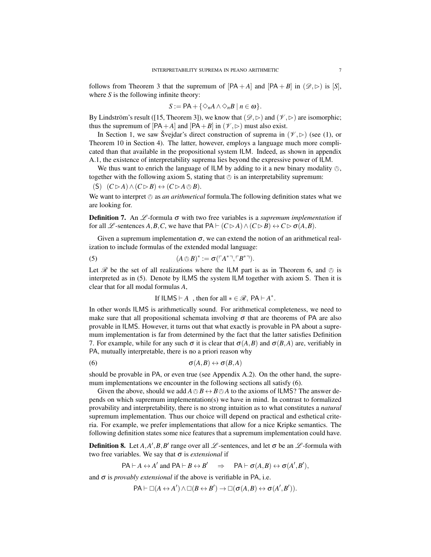follows from Theorem 3 that the supremum of  $[PA + A]$  and  $[PA + B]$  in  $(\mathscr{D}, \triangleright)$  is [*S*], where *S* is the following infinite theory:

$$
S:=\mathsf{PA}+\{\Diamond_n A\wedge \Diamond_n B\mid n\in\omega\}.
$$

By Lindström's result ([15, Theorem 3]), we know that  $(\mathscr{D}, \rhd)$  and  $(\mathscr{V}, \rhd)$  are isomorphic; thus the supremum of  $[PA+A]$  and  $[PA+B]$  in  $(\mathcal{V}, \rhd)$  must also exist.

In Section 1, we saw Svejdar's direct construction of suprema in  $(\mathscr{V}, \triangleright)$  (see (1), or Theorem 10 in Section 4). The latter, however, employs a language much more complicated than that available in the propositional system ILM. Indeed, as shown in appendix A.1, the existence of interpretability suprema lies beyond the expressive power of ILM.

We thus want to enrich the language of ILM by adding to it a new binary modality  $\oslash$ , together with the following axiom S, stating that  $\oslash$  is an interpretability supremum:

$$
(S) (C \triangleright A) \wedge (C \triangleright B) \leftrightarrow (C \triangleright A \otimes B).
$$

We want to interpret  $\oslash$  as *an arithmetical* formula. The following definition states what we are looking for are looking for.

**Definition 7.** An  $\mathscr L$ -formula  $\sigma$  with two free variables is a *supremum implementation* if for all L -sentences  $A, B, C$ , we have that  $PA \vdash (C \triangleright A) \land (C \triangleright B) \leftrightarrow C \triangleright \sigma(A, B)$ .

Given a supremum implementation  $\sigma$ , we can extend the notion of an arithmetical realization to include formulas of the extended modal language:

(5) 
$$
(A \otimes B)^* := \sigma(\ulcorner A^{*} \urcorner, \ulcorner B^{*} \urcorner).
$$

Let  $\mathcal R$  be the set of all realizations where the ILM part is as in Theorem 6, and  $\oslash$  is interpreted as in (5). Denote by ILMS the system ILM together with axiom S. Then it is clear that for all modal formulas *A*,

If ILMS 
$$
\vdash A
$$
, then for all  $* \in \mathcal{R}$ , PA  $\vdash A^*$ .

In other words ILMS is arithmetically sound. For arithmetical completeness, we need to make sure that all propositional schemata involving  $\sigma$  that are theorems of PA are also provable in ILMS. However, it turns out that what exactly is provable in PA about a supremum implementation is far from determined by the fact that the latter satisfies Definition 7. For example, while for any such  $\sigma$  it is clear that  $\sigma(A,B)$  and  $\sigma(B,A)$  are, verifiably in PA, mutually interpretable, there is no a priori reason why

(6) 
$$
\sigma(A,B) \leftrightarrow \sigma(B,A)
$$

should be provable in PA, or even true (see Appendix A.2). On the other hand, the supremum implementations we encounter in the following sections all satisfy (6).

Given the above, should we add  $A \otimes B \leftrightarrow B \otimes A$  to the axioms of ILMS? The answer depends on which supremum implementation(s) we have in mind. In contrast to formalized provability and interpretability, there is no strong intuition as to what constitutes a *natural* supremum implementation. Thus our choice will depend on practical and esthetical criteria. For example, we prefer implementations that allow for a nice Kripke semantics. The following definition states some nice features that a supremum implementation could have.

**Definition 8.** Let  $A, A', B, B'$  range over all  $\mathcal{L}$ -sentences, and let  $\sigma$  be an  $\mathcal{L}$ -formula with two free variables. We say that  $\sigma$  is *extensional* if

 $PA \mapsto A'$  and  $PA \vdash B \leftrightarrow B' \Rightarrow PA \vdash \sigma(A, B) \leftrightarrow \sigma(A', B'),$ 

and  $\sigma$  is *provably extensional* if the above is verifiable in PA, i.e.

 $PA \vdash \Box(A \leftrightarrow A') \land \Box(B \leftrightarrow B') \rightarrow \Box(\sigma(A, B) \leftrightarrow \sigma(A', B')).$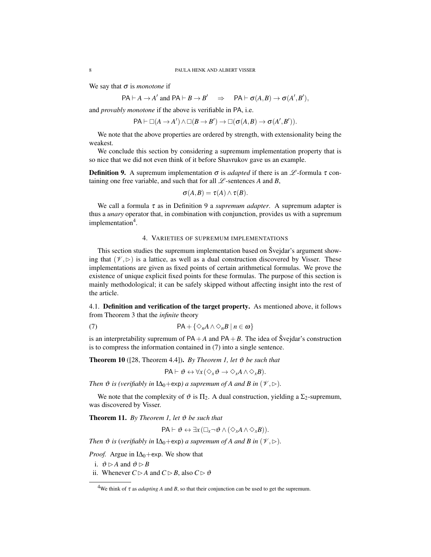We say that  $\sigma$  is *monotone* if

 $PA \vdash A \rightarrow A'$  and  $PA \vdash B \rightarrow B$  $\qquad \Rightarrow \quad \text{PA} \vdash \sigma(A,B) \rightarrow \sigma(A',B'),$ 

and *provably monotone* if the above is verifiable in PA, i.e.

 $PA \vdash \Box(A \to A') \land \Box(B \to B') \to \Box(\sigma(A, B) \to \sigma(A', B')).$ 

We note that the above properties are ordered by strength, with extensionality being the weakest.

We conclude this section by considering a supremum implementation property that is so nice that we did not even think of it before Shavrukov gave us an example.

**Definition 9.** A supremum implementation  $\sigma$  is *adapted* if there is an  $\mathscr{L}$ -formula  $\tau$  containing one free variable, and such that for all  $\mathcal{L}$ -sentences *A* and *B*,

$$
\sigma(A,B)=\tau(A)\wedge \tau(B).
$$

We call a formula  $\tau$  as in Definition 9 a *supremum adapter*. A supremum adapter is thus a *unary* operator that, in combination with conjunction, provides us with a supremum implementation<sup>4</sup>.

# 4. VARIETIES OF SUPREMUM IMPLEMENTATIONS

This section studies the supremum implementation based on Švejdar's argument showing that  $(\mathscr{V}, \triangleright)$  is a lattice, as well as a dual construction discovered by Visser. These implementations are given as fixed points of certain arithmetical formulas. We prove the existence of unique explicit fixed points for these formulas. The purpose of this section is mainly methodological; it can be safely skipped without affecting insight into the rest of the article.

4.1. Definition and verification of the target property. As mentioned above, it follows from Theorem 3 that the *infinite* theory

(7) 
$$
\mathsf{PA} + \{\Diamond_n A \land \Diamond_n B \mid n \in \omega\}
$$

is an interpretability supremum of  $PA + A$  and  $PA + B$ . The idea of Švejdar's construction is to compress the information contained in (7) into a single sentence.

**Theorem 10** ([28, Theorem 4.4]). *By Theorem 1, let*  $\vartheta$  *be such that* 

$$
\mathsf{PA}\vdash \vartheta \leftrightarrow \forall x(\Diamond_x \vartheta \to \Diamond_x A \land \Diamond_x B).
$$

*Then*  $\vartheta$  *is (verifiably in*  $I\Delta_0 + \exp$ ) *a supremum of A and B in* ( $\mathcal{V}, \triangleright$ ).

We note that the complexity of  $\vartheta$  is  $\Pi_2$ . A dual construction, yielding a  $\Sigma_2$ -supremum, was discovered by Visser.

Theorem 11. *By Theorem 1, let θ be such that* 

$$
\mathsf{PA}\vdash \vartheta \leftrightarrow \exists x\,(\Box_x \neg \vartheta \land (\Diamond_x A \land \Diamond_x B)).
$$

*Then*  $\vartheta$  *is* (*verifiably in*  $I\Delta_0 + \exp$ ) *a supremum of A* and *B in* ( $\mathscr{V}, \triangleright$ ).

*Proof.* Argue in  $IA_0$ +exp. We show that

i.  $\vartheta \triangleright A$  and  $\vartheta \triangleright B$ 

ii. Whenever  $C \triangleright A$  and  $C \triangleright B$ , also  $C \triangleright \vartheta$ 

<sup>&</sup>lt;sup>4</sup>We think of  $\tau$  as *adapting A* and *B*, so that their conjunction can be used to get the supremum.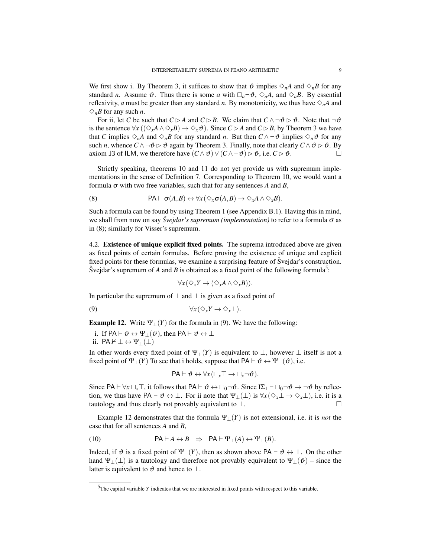We first show i. By Theorem 3, it suffices to show that  $\vartheta$  implies  $\Diamond_n A$  and  $\Diamond_n B$  for any standard *n*. Assume  $\vartheta$ . Thus there is some *a* with  $\square_a \neg \vartheta$ ,  $\diamondsuit_a A$ , and  $\diamondsuit_a B$ . By essential reflexivity, *a* must be greater than any standard *n*. By monotonicity, we thus have  $\Diamond_{n}A$  and  $\Diamond_{n}B$  for any such *n*.

For ii, let *C* be such that  $C \triangleright A$  and  $C \triangleright B$ . We claim that  $C \wedge \neg \vartheta \triangleright \vartheta$ . Note that  $\neg \vartheta$ is the sentence  $\forall x ((\Diamond_x A \land \Diamond_x B) \rightarrow \Diamond_x \vartheta)$ . Since  $C \triangleright A$  and  $C \triangleright B$ , by Theorem 3 we have that *C* implies  $\Diamond_n A$  and  $\Diamond_n B$  for any standard *n*. But then  $C \land \neg \vartheta$  implies  $\Diamond_n \vartheta$  for any such *n*, whence  $C \wedge \neg \vartheta \triangleright \vartheta$  again by Theorem 3. Finally, note that clearly  $C \wedge \vartheta \triangleright \vartheta$ . By axiom J3 of ILM, we therefore have  $(C \land \vartheta) \lor (C \land \neg \vartheta) \rhd \vartheta$ , i.e.  $C \rhd \vartheta$ . □

Strictly speaking, theorems 10 and 11 do not yet provide us with supremum implementations in the sense of Definition 7. Corresponding to Theorem 10, we would want a formula  $\sigma$  with two free variables, such that for any sentences *A* and *B*,

(8) 
$$
\mathsf{PA}\vdash \sigma(A,B)\leftrightarrow \forall x(\Diamond_x \sigma(A,B)\to \Diamond_x A\land \Diamond_x B).
$$

Such a formula can be found by using Theorem 1 (see Appendix B.1). Having this in mind, we shall from now on say *Svejdar's supremum (implementation)* to refer to a formula  $\sigma$  as in (8); similarly for Visser's supremum.

4.2. Existence of unique explicit fixed points. The suprema introduced above are given as fixed points of certain formulas. Before proving the existence of unique and explicit fixed points for these formulas, we examine a surprising feature of  $\tilde{S}$  vejdar's construction. Švejdar's supremum of A and B is obtained as a fixed point of the following formula<sup>5</sup>:

$$
\forall x (\Diamond_x Y \to (\Diamond_x A \land \Diamond_x B)).
$$

In particular the supremum of  $\perp$  and  $\perp$  is given as a fixed point of

$$
\forall x (\Diamond_x Y \to \Diamond_x \bot).
$$

**Example 12.** Write  $\Psi_1(Y)$  for the formula in (9). We have the following:

i. If PA  $\vdash \vartheta \leftrightarrow \Psi_+(\vartheta)$ , then PA  $\vdash \vartheta \leftrightarrow \bot$ ii. PA  $\vdash \bot \leftrightarrow \Psi_{\bot}(\bot)$ 

In other words every fixed point of  $\Psi_+(Y)$  is equivalent to  $\bot$ , however  $\bot$  itself is not a fixed point of  $\Psi_{\perp}(Y)$  To see that i holds, suppose that  $PA \vdash \vartheta \leftrightarrow \Psi_{\perp}(\vartheta)$ , i.e.

$$
\mathsf{PA}\vdash \vartheta \leftrightarrow \forall x\,(\Box_x \top \to \Box_x \neg \vartheta).
$$

Since PA  $\vdash \forall x \Box_x \top$ , it follows that PA  $\vdash \vartheta \leftrightarrow \Box_0 \neg \vartheta$ . Since  $I\Sigma_1 \vdash \Box_0 \neg \vartheta \rightarrow \neg \vartheta$  by reflection, we thus have PA  $\vdash \vartheta \leftrightarrow \bot$ . For ii note that  $\Psi_{\perp}(\bot)$  is  $\forall x(\Diamond_x \bot \rightarrow \Diamond_x \bot)$ , i.e. it is a tautology and thus clearly not provably equivalent to ⊥.  $\Box$ 

Example 12 demonstrates that the formula  $\Psi_+(Y)$  is not extensional, i.e. it is *not* the case that for all sentences *A* and *B*,

(10) 
$$
\mathsf{PA}\vdash A\leftrightarrow B\;\;\Rightarrow\;\;\mathsf{PA}\vdash \Psi_{\perp}(A)\leftrightarrow \Psi_{\perp}(B).
$$

Indeed, if  $\vartheta$  is a fixed point of  $\Psi_{\perp}(Y)$ , then as shown above PA  $\vdash \vartheta \leftrightarrow \bot$ . On the other hand  $\Psi_{\perp}(\perp)$  is a tautology and therefore not provably equivalent to  $\Psi_{\perp}(\vartheta)$  – since the latter is equivalent to  $\vartheta$  and hence to  $\bot$ .

<sup>5</sup>The capital variable *Y* indicates that we are interested in fixed points with respect to this variable.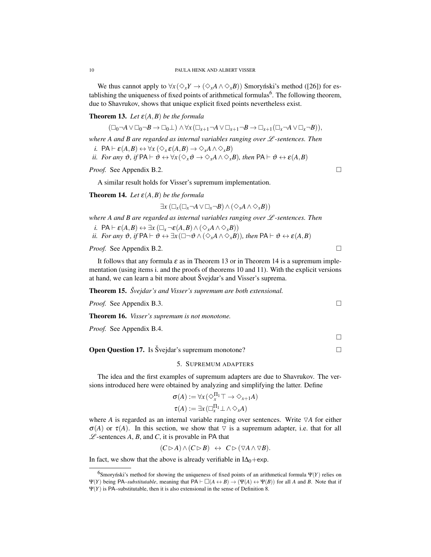We thus cannot apply to  $\forall x (\Diamond_x Y \to (\Diamond_x A \land \Diamond_x B))$  Smorynski's method ([26]) for establishing the uniqueness of fixed points of arithmetical formulas<sup>6</sup>. The following theorem, due to Shavrukov, shows that unique explicit fixed points nevertheless exist.

**Theorem 13.** Let  $\varepsilon(A,B)$  be the formula

$$
(\Box_0 \neg A \vee \Box_0 \neg B \rightarrow \Box_0 \bot) \wedge \forall x (\Box_{x+1} \neg A \vee \Box_{x+1} \neg B \rightarrow \Box_{x+1} (\Box_x \neg A \vee \Box_x \neg B)),
$$

*where A and B are regarded as internal variables ranging over* L *-sentences. Then*

*i.*  $PA \vdash \varepsilon(A,B) \leftrightarrow \forall x (\Diamond_r \varepsilon(A,B) \rightarrow \Diamond_r A \wedge \Diamond_r B)$ *ii. For any*  $\vartheta$ *, if*  $PA \vdash \vartheta \leftrightarrow \forall x (\Diamond_x \vartheta \to \Diamond_x A \land \Diamond_x B)$ *, then*  $PA \vdash \vartheta \leftrightarrow \varepsilon(A, B)$ 

*Proof.* See Appendix B.2. □

A similar result holds for Visser's supremum implementation.

**Theorem 14.** Let  $\varepsilon(A,B)$  be the formula

$$
\exists x (\Box_x (\Box_x \neg A \vee \Box_x \neg B) \wedge (\Diamond_x A \wedge \Diamond_x B))
$$

*where A and B are regarded as internal variables ranging over*  $\mathcal{L}$ *-sentences. Then* 

*i.* 
$$
PA \vdash \varepsilon(A, B) \leftrightarrow \exists x (\Box_x \neg \varepsilon(A, B) \land (\Diamond_x A \land \Diamond_x B))
$$
  
*ii.* For any  $\vartheta$ , if  $PA \vdash \vartheta \leftrightarrow \exists x (\Box \neg \vartheta \land (\Diamond_x A \land \Diamond_x B))$ , then  $PA \vdash \vartheta \leftrightarrow \varepsilon(A, B)$ 

# *Proof.* See Appendix B.2. □

It follows that any formula  $\varepsilon$  as in Theorem 13 or in Theorem 14 is a supremum implementation (using items i. and the proofs of theorems 10 and 11). With the explicit versions at hand, we can learn a bit more about Svejdar's and Visser's suprema.

Theorem 15. *Svejdar's and Visser's supremum are both extensional. ˇ*

*Proof.* See Appendix B.3. □

Theorem 16. *Visser's supremum is not monotone.*

*Proof.* See Appendix B.4.

**Open Question 17.** Is Švejdar's supremum monotone?

# 5. SUPREMUM ADAPTERS

The idea and the first examples of supremum adapters are due to Shavrukov. The versions introduced here were obtained by analyzing and simplifying the latter. Define

$$
\sigma(A) := \forall x (\Diamond_{x}^{\Pi_1} \top \to \Diamond_{x+1} A) \tau(A) := \exists x (\Box_{x}^{\Pi_1} \bot \land \Diamond_{x} A)
$$

where *A* is regarded as an internal variable ranging over sentences. Write  $\nabla A$  for either  $\sigma(A)$  or  $\tau(A)$ . In this section, we show that  $\nabla$  is a supremum adapter, i.e. that for all  $\mathscr L$ -sentences *A*, *B*, and *C*, it is provable in PA that

$$
(C \triangleright A) \wedge (C \triangleright B) \leftrightarrow C \triangleright (\triangledown A \wedge \triangledown B).
$$

In fact, we show that the above is already verifiable in  $I\Delta_0$ +exp.

 $\Box$ 

<sup>&</sup>lt;sup>6</sup>Smoryński's method for showing the uniqueness of fixed points of an arithmetical formula  $\Psi(Y)$  relies on  $\Psi(Y)$  being PA-*substitutable*, meaning that PA  $\vdash \Box(A \leftrightarrow B) \rightarrow (\Psi(A) \leftrightarrow \Psi(B))$  for all *A* and *B*. Note that if

 $\Psi(Y)$  is PA–substitutable, then it is also extensional in the sense of Definition 8.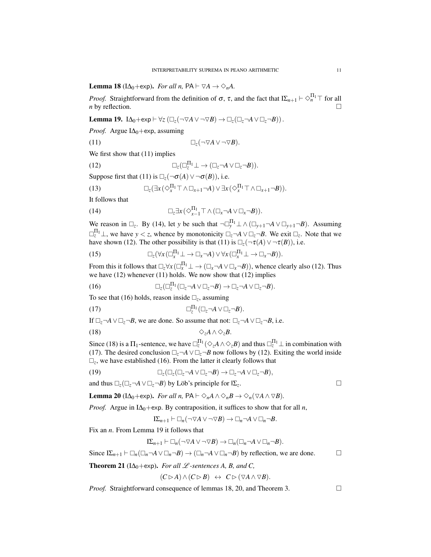**Lemma 18** (I $\Delta_0$ +exp). *For all n*, PA  $\vdash \nabla A \rightarrow \Diamond_n A$ .

*Proof.* Straightforward from the definition of  $\sigma$ ,  $\tau$ , and the fact that  $I\Sigma_{n+1} \vdash \Diamond_n^{\Pi_1} \top$  for all *n* by reflection.  $\Box$ 

**Lemma 19.** 
$$
I\Delta_0 + \exp \vdash \forall z (\Box_z(\neg \triangledown A \vee \neg \triangledown B) \rightarrow \Box_z(\Box_z \neg A \vee \Box_z \neg B)).
$$

*Proof.* Argue I $\Delta_0$ +exp, assuming

$$
(11) \qquad \qquad \Box_z(\neg \triangledown A \vee \neg \triangledown B).
$$

We first show that  $(11)$  implies

(12) 
$$
\Box_z(\Box_z^{\Pi_1} \bot \to (\Box_z \neg A \lor \Box_z \neg B)).
$$

Suppose first that (11) is  $\Box_z(\neg \sigma(A) \vee \neg \sigma(B))$ , i.e.

(13) 
$$
\Box_z(\exists x (\Diamond_x^{\Pi_1} \top \wedge \Box_{x+1} \neg A) \vee \exists x (\Diamond_x^{\Pi_1} \top \wedge \Box_{x+1} \neg B)).
$$

It follows that

(14) 
$$
\Box_z \exists x (\Diamond_{x-1}^{\Pi_1} \top \wedge (\Box_x \neg A \vee \Box_x \neg B)).
$$

We reason in  $\Box$ <sub>z</sub>. By (14), let *y* be such that  $\neg \Box_y^{\Pi_1} \bot \wedge (\Box_{y+1} \neg A \vee \Box_{y+1} \neg B)$ . Assuming  $\Box_z^{\Pi_1} \bot$ , we have  $y < z$ , whence by monotonicity  $\Box_z \neg A \lor \Box_z \neg B$ . We exit  $\Box_z$ . Note that we have shown (12). The other possibility is that (11) is  $\Box_z(\neg \tau(A) \vee \neg \tau(B))$ , i.e.

(15) 
$$
\Box_z(\forall x \left(\Box_x^{\Pi_1} \bot \to \Box_x \neg A\right) \vee \forall x \left(\Box_x^{\Pi_1} \bot \to \Box_x \neg B\right)).
$$

From this it follows that  $\Box_z \forall x (\Box_x^{\Pi_1} \bot \to (\Box_x \neg A \lor \Box_x \neg B))$ , whence clearly also (12). Thus we have  $(12)$  whenever  $(11)$  holds. We now show that  $(12)$  implies

(16) 
$$
\Box_z(\Box_z^{\Pi_1}(\Box_z \neg A \vee \Box_z \neg B) \rightarrow \Box_z \neg A \vee \Box_z \neg B).
$$

To see that (16) holds, reason inside  $\Box_z$ , assuming

(17) 
$$
\Box_z^{\Pi_1} (\Box_z \neg A \vee \Box_z \neg B).
$$

If  $\Box_z \neg A \lor \Box_z \neg B$ , we are done. So assume that not:  $\Box_z \neg A \lor \Box_z \neg B$ , i.e.

$$
\Diamond_z A \wedge \Diamond_z B.
$$

Since (18) is a  $\Pi_1$ -sentence, we have  $\Box_z^{\Pi_1}(\Diamond_z A \land \Diamond_z B)$  and thus  $\Box_z^{\Pi_1} \bot$  in combination with (17). The desired conclusion  $\Box$ <sub>7</sub> $\neg$ *A*  $\lor$   $\Box$ <sub>7</sub> $\neg$ *B* now follows by (12). Exiting the world inside  $\Box_z$ , we have established (16). From the latter it clearly follows that

(19) 
$$
\Box_z(\Box_z(\Box_z \neg A \vee \Box_z \neg B) \to \Box_z \neg A \vee \Box_z \neg B),
$$

and thus  $\Box$ <sub>*z*</sub>( $\Box$ <sub>*z*</sub>¬*A*  $\lor$   $\Box$ <sub>*z*</sub></sub> $\Box$ *B*) by Löb's principle for  $I\Sigma$ <sub>*z*</sub>.

**Lemma 20** (I $\Delta_0$ +exp). *For all n*,  $PA \vdash \Diamond_n A \land \Diamond_n B \to \Diamond_n (\nabla A \land \nabla B)$ .

*Proof.* Argue in I $\Delta_0$ +exp. By contraposition, it suffices to show that for all *n*,

$$
I\Sigma_{n+1}\vdash \Box_n(\neg \triangledown A\vee\neg \triangledown B)\rightarrow \Box_n\neg A\vee \Box_n\neg B.
$$

Fix an *n*. From Lemma 19 it follows that

$$
I\Sigma_{n+1}\vdash \Box_n(\neg\nabla A\vee\neg\nabla B)\rightarrow \Box_n(\Box_n\neg A\vee\Box_n\neg B).
$$

Since  $\sum_{n+1} \vdash \Box_n (\Box_n \neg A \lor \Box_n \neg B) \rightarrow (\Box_n \neg A \lor \Box_n \neg B)$  by reflection, we are done.

**Theorem 21** ( $I\Delta_0$ +exp). *For all*  $L$ -sentences A, B, and C,

$$
(C \triangleright A) \wedge (C \triangleright B) \ \leftrightarrow \ C \triangleright (\triangledown A \wedge \triangledown B).
$$

*Proof.* Straightforward consequence of lemmas 18, 20, and Theorem 3.

. — Первый процесс в серверності процесс в серверності процесс в серверності процесс в серверності процесс в с<br>Процесс в серверності процесс в серверності процесс в серверності процесс в серверності процесс в серверності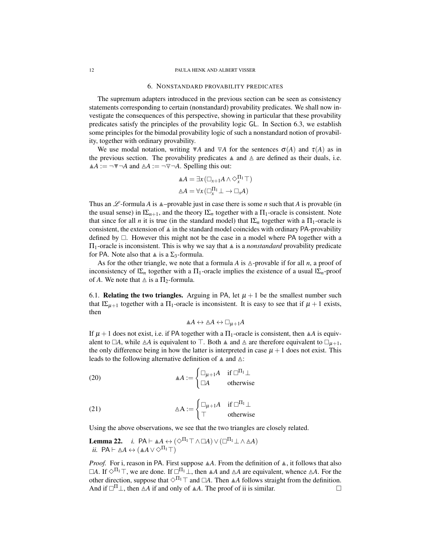#### 12 PAULA HENK AND ALBERT VISSER

#### 6. NONSTANDARD PROVABILITY PREDICATES

The supremum adapters introduced in the previous section can be seen as consistency statements corresponding to certain (nonstandard) provability predicates. We shall now investigate the consequences of this perspective, showing in particular that these provability predicates satisfy the principles of the provability logic GL. In Section 6.3, we establish some principles for the bimodal provability logic of such a nonstandard notion of provability, together with ordinary provability.

We use modal notation, writing  $\nabla A$  and  $\nabla A$  for the sentences  $\sigma(A)$  and  $\tau(A)$  as in the previous section. The provability predicates  $\blacktriangle$  and  $\triangle$  are defined as their duals, i.e.  $\triangle A := \neg \nabla \neg A$  and  $\triangle A := \neg \nabla \neg A$ . Spelling this out:

$$
\Delta A = \exists x (\Box_{x+1} A \land \Diamond_x^{\Pi_1} \top)
$$

$$
\Delta A = \forall x (\Box_x^{\Pi_1} \bot \to \Box_x A)
$$

Thus an  $\mathscr L$ -formula *A* is  $\blacktriangle$ -provable just in case there is some *n* such that *A* is provable (in the usual sense) in  $I\Sigma_{n+1}$ , and the theory  $I\Sigma_n$  together with a  $\Pi_1$ -oracle is consistent. Note that since for all *n* it is true (in the standard model) that  $I\Sigma_n$  together with a  $\Pi_1$ -oracle is consistent, the extension of  $\triangle$  in the standard model coincides with ordinary PA-provability defined by  $\Box$ . However this might not be the case in a model where PA together with a Π1-oracle is inconsistent. This is why we say that N is a *nonstandard* provability predicate for PA. Note also that  $\blacktriangle$  is a  $\Sigma_3$ -formula.

As for the other triangle, we note that a formula  $A$  is  $\triangle$ -provable if for all  $n$ , a proof of inconsistency of  $I\Sigma_n$  together with a  $\Pi_1$ -oracle implies the existence of a usual  $I\Sigma_n$ -proof of *A*. We note that  $\triangle$  is a  $\Pi_2$ -formula.

6.1. Relating the two triangles. Arguing in PA, let  $\mu + 1$  be the smallest number such that I $\Sigma_{\mu+1}$  together with a  $\Pi_1$ -oracle is inconsistent. It is easy to see that if  $\mu + 1$  exists, then

$$
\blacktriangle A \leftrightarrow \triangle A \leftrightarrow \square_{\mu+1} A
$$

If  $\mu + 1$  does not exist, i.e. if PA together with a  $\Pi_1$ -oracle is consistent, then AA is equivalent to  $\Box A$ , while  $\triangle A$  is equivalent to  $\top$ . Both  $\blacktriangle$  and  $\triangle$  are therefore equivalent to  $\Box_{\mu+1}$ , the only difference being in how the latter is interpreted in case  $\mu + 1$  does not exist. This leads to the following alternative definition of  $\blacktriangle$  and  $\triangle$ :

(20) 
$$
\Delta A := \begin{cases} \Box_{\mu+1} A & \text{if } \Box^{\Pi_1} \bot \\ \Box A & \text{otherwise} \end{cases}
$$

(21) 
$$
\Delta A := \begin{cases} \Box_{\mu+1} A & \text{if } \Box^{\Pi_1} \bot \\ \top & \text{otherwise} \end{cases}
$$

Using the above observations, we see that the two triangles are closely related.

**Lemma 22.** *i.* 
$$
PA \vdash \triangle A \leftrightarrow (\Diamond^{\Pi_1} \top \wedge \Box A) \vee (\Box^{\Pi_1} \bot \wedge \triangle A)
$$
  
*ii.*  $PA \vdash \triangle A \leftrightarrow (\triangle A \vee \Diamond^{\Pi_1} \top)$ 

*Proof.* For i, reason in PA. First suppose ∆A. From the definition of ∆, it follows that also  $\Box A$ . If  $\Diamond^{\Pi_1}\top$ , we are done. If  $\Box^{\Pi_1}\bot$ , then A *A* and A *A* are equivalent, whence A*A*. For the other direction, suppose that  $\Diamond^{\Pi_1}\top$  and  $\Box A$ . Then A<sub>*A*</sub> follows straight from the definition. And if  $\Box^{\Pi} \bot$ , then  $\triangle A$  if and only of  $\triangle A$ . The proof of ii is similar.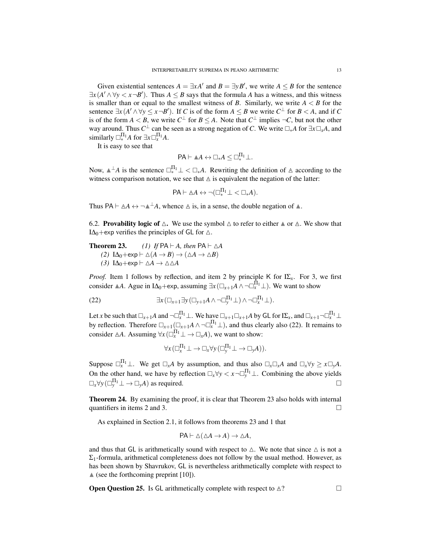Given existential sentences  $A = \exists x A'$  and  $B = \exists y B'$ , we write  $A \leq B$  for the sentence  $\exists x (A' \land \forall y < x \neg B')$ . Thus  $A \leq B$  says that the formula *A* has a witness, and this witness is smaller than or equal to the smallest witness of *B*. Similarly, we write  $A < B$  for the sentence  $\exists x (A' \land \forall y \leq x \neg B')$ . If *C* is of the form  $A \leq B$  we write  $C^{\perp}$  for  $B < A$ , and if *C* is of the form  $A < B$ , we write  $C^{\perp}$  for  $B \leq A$ . Note that  $C^{\perp}$  implies  $\neg C$ , but not the other way around. Thus  $C^{\perp}$  can be seen as a strong negation of *C*. We write  $\Box_{*}A$  for  $\exists x \Box_{x}A$ , and similarly  $\square_*^{\Pi_1} A$  for  $\exists x \square_x^{\Pi_1} A$ .

It is easy to see that

$$
\mathsf{PA}\vdash \blacktriangle A\leftrightarrow \square_*A\leq \square_*^{\Pi_1}\bot.
$$

Now,  $\mathbb{A}^{\perp}A$  is the sentence  $\Box_*^{\Pi_1} \bot \subset \Box_*A$ . Rewriting the definition of  $\triangle$  according to the witness comparison notation, we see that  $\triangle$  is equivalent the negation of the latter:

$$
\mathsf{PA}\vdash\vartriangle A\leftrightarrow\neg(\Box_*^{\Pi_1}\bot<\Box_*A).
$$

Thus PA  $\vdash$   $\triangle A \leftrightarrow \neg \blacktriangle^{\perp}A$ , whence  $\triangle$  is, in a sense, the double negation of  $\blacktriangle$ .

6.2. **Provability logic of**  $\triangle$ . We use the symbol  $\triangle$  to refer to either  $\triangle$  or  $\triangle$ . We show that I $\Delta_0$ +exp verifies the principles of GL for  $\Delta$ .

**Theorem 23.** *(1) If*  $PA \vdash A$ *, then*  $PA \vdash \triangle A$ *(2)* **I**∆<sub>0</sub>+exp  $\vdash$  ∆*(A* → *B*) → *(*∆*A* → ∆*B*) *(3)* I∆<sub>0</sub>+exp  $\vdash$  ∆*A* → ∆ ∆*A* 

*Proof.* Item 1 follows by reflection, and item 2 by principle K for  $I\Sigma_r$ . For 3, we first consider  $\triangle A$ . Ague in I $\Delta_0$ +exp, assuming  $\exists x (\Box_{x+1} A \land \neg \Box_x^{\Pi_1} \bot)$ . We want to show

(22) 
$$
\exists x (\Box_{x+1} \exists y (\Box_{y+1} A \land \neg \Box_y^{\Pi_1} \bot) \land \neg \Box_x^{\Pi_1} \bot).
$$

Let *x* be such that  $\Box_{x+1}A$  and  $\neg\Box_x^{\Pi_1}\bot$ . We have  $\Box_{x+1}\Box_{x+1}A$  by GL for I $\Sigma_x$ , and  $\Box_{x+1}\neg\Box_x^{\Pi_1}\bot$ by reflection. Therefore  $\Box_{x+1}(\Box_{x+1}A \wedge \neg \Box_x^{\Pi_1} \bot)$ , and thus clearly also (22). It remains to consider  $\triangle A$ . Assuming  $\forall x (\Box_x^{\Pi_1} \bot \to \Box_x A)$ , we want to show:

$$
\forall x (\Box_x^{\Pi_1} \bot \to \Box_x \forall y (\Box_y^{\Pi_1} \bot \to \Box_y A)).
$$

Suppose  $\Box_x^{\Pi_1} \bot$ . We get  $\Box_x A$  by assumption, and thus also  $\Box_x \Box_x A$  and  $\Box_x \forall y \geq x \Box_y A$ . On the other hand, we have by reflection  $\Box_x \forall y < x \neg \Box_y^{\Pi_1} \bot$ . Combining the above yields  $\Box_x \forall y \left( \Box_y^{\Pi_1} \bot \to \Box_y A \right)$  as required.

Theorem 24. By examining the proof, it is clear that Theorem 23 also holds with internal quantifiers in items 2 and 3.

As explained in Section 2.1, it follows from theorems 23 and 1 that

$$
\mathsf{PA}\vdash \Delta(\Delta A\to A)\to \Delta A,
$$

and thus that GL is arithmetically sound with respect to  $\triangle$ . We note that since  $\triangle$  is not a  $\Sigma_1$ -formula, arithmetical completeness does not follow by the usual method. However, as has been shown by Shavrukov, GL is nevertheless arithmetically complete with respect to  $\triangle$  (see the forthcoming preprint [10]).

**Open Question 25.** Is GL arithmetically complete with respect to  $\triangle$ ?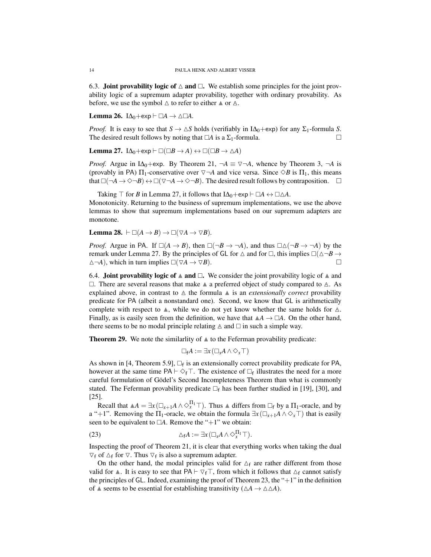6.3. **Joint provability logic of**  $\triangle$  and  $\Box$ . We establish some principles for the joint provability logic of a supremum adapter provability, together with ordinary provability. As before, we use the symbol  $\triangle$  to refer to either  $\triangle$  or  $\triangle$ .

**Lemma 26.**  $I\Delta_0 + \exp \vdash \Box A \rightarrow \triangle \Box A$ .

*Proof.* It is easy to see that  $S \to \Delta S$  holds (verifiably in  $I\Delta_0 + \exp$ ) for any  $\Sigma_1$ -formula *S*. The desired result follows by noting that  $\Box A$  is a  $\Sigma_1$ -formula.

Lemma 27.  $I\Delta_0 + \exp \vdash \Box(\Box B \to A) \leftrightarrow \Box(\Box B \to \triangle A)$ 

*Proof.* Argue in I $\Delta_0$ +exp. By Theorem 21,  $\neg A \equiv \nabla \neg A$ , whence by Theorem 3,  $\neg A$  is (provably in PA)  $\Pi_1$ -conservative over  $\nabla \neg A$  and vice versa. Since  $\Diamond B$  is  $\Pi_1$ , this means that  $\Box(\neg A \rightarrow \Diamond \neg B) \leftrightarrow \Box(\nabla \neg A \rightarrow \Diamond \neg B)$ . The desired result follows by contraposition.  $\Box$ 

Taking  $\top$  for *B* in Lemma 27, it follows that  $IA_0 + exp ⊢ A \leftrightarrow ∎∆A$ .

Monotonicity. Returning to the business of supremum implementations, we use the above lemmas to show that supremum implementations based on our supremum adapters are monotone.

**Lemma 28.**  $\vdash \Box(A \to B) \to \Box(\nabla A \to \nabla B)$ .

*Proof.* Argue in PA. If  $\square(A \to B)$ , then  $\square(\neg B \to \neg A)$ , and thus  $\square \triangle(\neg B \to \neg A)$  by the remark under Lemma 27. By the principles of  $GL$  for  $\triangle$  and for  $\Box$ , this implies  $\Box(\triangle \neg B \rightarrow$  $\triangle \neg A$ ), which in turn implies  $\square(\triangledown A \rightarrow \triangledown B)$ .

6.4. **Joint provability logic of**  $\triangle$  **and**  $\Box$ . We consider the joint provability logic of  $\triangle$  and  $\Box$ . There are several reasons that make  $\blacktriangle$  a preferred object of study compared to  $\triangle$ . As explained above, in contrast to  $\triangle$  the formula  $\triangle$  is an *extensionally correct* provability predicate for PA (albeit a nonstandard one). Second, we know that GL is arithmetically complete with respect to  $\blacktriangle$ , while we do not yet know whether the same holds for  $\triangle$ . Finally, as is easily seen from the definition, we have that  $\mathbb{A}A \to \mathbb{A}A$ . On the other hand, there seems to be no modal principle relating  $\triangle$  and  $\square$  in such a simple way.

**Theorem 29.** We note the similarlity of  $\triangle$  to the Feferman provability predicate:

$$
\Box_{\mathsf{f}} A := \exists x \, (\Box_x A \land \Diamond_x \top)
$$

As shown in [4, Theorem 5.9],  $\Box_f$  is an extensionally correct provability predicate for PA, however at the same time  $PA \vdash \Diamond_f \top$ . The existence of  $\Box_f$  illustrates the need for a more careful formulation of Gödel's Second Incompleteness Theorem than what is commonly stated. The Feferman provability predicate  $\Box_f$  has been further studied in [19], [30], and [25].

Recall that  $\mathbb{A}A = \exists x (\Box_{x+1} A \land \Diamond_x^{\Pi_1} \top)$ . Thus  $\blacktriangle$  differs from  $\Box_f$  by a  $\Pi_1$ -oracle, and by a "+1". Removing the  $\Pi_1$ -oracle, we obtain the formula  $\exists x (\Box_{x+1} A \land \Diamond_x \top)$  that is easily seen to be equivalent to  $\Box A$ . Remove the "+1" we obtain:

(23) 
$$
\Delta_f A := \exists x (\Box_x A \wedge \Diamond_x^{\Pi_1} \top).
$$

Inspecting the proof of Theorem 21, it is clear that everything works when taking the dual  $\nabla_f$  of  $\Delta_f$  for  $\nabla$ . Thus  $\nabla_f$  is also a supremum adapter.

On the other hand, the modal principles valid for  $\Delta_f$  are rather different from those valid for  $\blacktriangle$ . It is easy to see that PA  $\vdash \triangledown_f \top$ , from which it follows that  $\triangle_f$  cannot satisfy the principles of GL. Indeed, examining the proof of Theorem 23, the "+1" in the definition of  $\blacktriangle$  seems to be essential for establishing transitivity ( $\triangle A \rightarrow \triangle \triangle A$ ).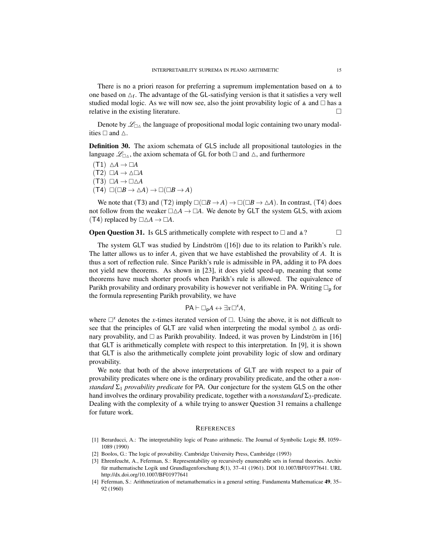There is no a priori reason for preferring a supremum implementation based on  $\blacktriangle$  to one based on  $\Delta_f$ . The advantage of the GL-satisfying version is that it satisfies a very well studied modal logic. As we will now see, also the joint provability logic of  $\blacktriangle$  and  $\Box$  has a relative in the existing literature.

Denote by  $\mathscr{L}_{\Box}$  the language of propositional modal logic containing two unary modalities  $\Box$  and  $\triangle$ .

Definition 30. The axiom schemata of GLS include all propositional tautologies in the language  $\mathscr{L}_{\Box \Delta}$ , the axiom schemata of GL for both  $\Box$  and  $\triangle$ , and furthermore

 $(T1) \Delta A \rightarrow \Box A$  $(T2)$   $\Box A \rightarrow \triangle \Box A$  $(T3)$   $\Box A \rightarrow \Box \triangle A$  $(T4) \Box(\Box B \rightarrow \triangle A) \rightarrow \Box(\Box B \rightarrow A)$ 

We note that (T3) and (T2) imply  $\square(\square B \rightarrow A) \rightarrow \square(\square B \rightarrow \triangle A)$ . In contrast, (T4) does not follow from the weaker  $\Box \Delta A \rightarrow \Box A$ . We denote by GLT the system GLS, with axiom (T4) replaced by  $\Box \triangle A \rightarrow \Box A$ .

**Open Question 31.** Is GLS arithmetically complete with respect to  $\Box$  and  $\land$ ?

The system GLT was studied by Lindström  $([16])$  due to its relation to Parikh's rule. The latter allows us to infer *A*, given that we have established the provability of *A*. It is thus a sort of reflection rule. Since Parikh's rule is admissible in PA, adding it to PA does not yield new theorems. As shown in [23], it does yield speed-up, meaning that some theorems have much shorter proofs when Parikh's rule is allowed. The equivalence of Parikh provability and ordinary provability is however not verifiable in PA. Writing  $\Box_{p}$  for the formula representing Parikh provability, we have

$$
\mathsf{PA}\vdash \Box_{\mathsf{p}} A \leftrightarrow \exists x \Box^x A,
$$

where  $\Box^x$  denotes the *x*-times iterated version of  $\Box$ . Using the above, it is not difficult to see that the principles of GLT are valid when interpreting the modal symbol  $\Delta$  as ordinary provability, and  $\Box$  as Parikh provability. Indeed, it was proven by Lindström in [16] that GLT is arithmetically complete with respect to this interpretation. In [9], it is shown that GLT is also the arithmetically complete joint provability logic of slow and ordinary provability.

We note that both of the above interpretations of GLT are with respect to a pair of provability predicates where one is the ordinary provability predicate, and the other a *nonstandard*  $\Sigma_1$  *provability predicate* for PA. Our conjecture for the system GLS on the other hand involves the ordinary provability predicate, together with a *nonstandard* Σ3-predicate. Dealing with the complexity of  $\blacktriangle$  while trying to answer Question 31 remains a challenge for future work.

### **REFERENCES**

- [1] Berarducci, A.: The interpretability logic of Peano arithmetic. The Journal of Symbolic Logic 55, 1059– 1089 (1990)
- [2] Boolos, G.: The logic of provability. Cambridge University Press, Cambridge (1993)
- [3] Ehrenfeucht, A., Feferman, S.: Representability op recursively enumerable sets in formal theories. Archiv für mathematische Logik und Grundlagenforschung  $5(1)$ , 37-41 (1961). DOI 10.1007/BF01977641. URL http://dx.doi.org/10.1007/BF01977641
- [4] Feferman, S.: Arithmetization of metamathematics in a general setting. Fundamenta Mathematicae 49, 35– 92 (1960)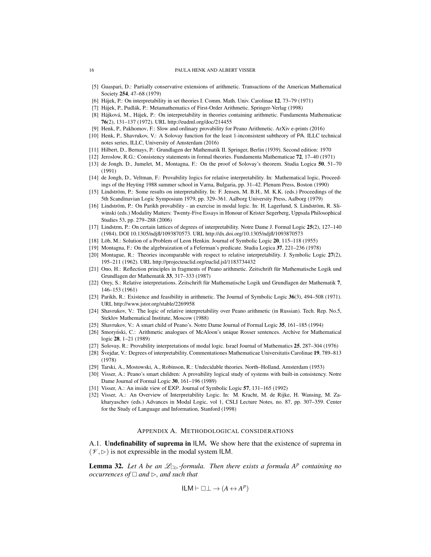#### 16 PAULA HENK AND ALBERT VISSER

- [5] Guaspari, D.: Partially conservative extensions of arithmetic. Transactions of the American Mathematical Society 254, 47–68 (1979)
- [6] Hájek, P.: On interpretability in set theories I. Comm. Math. Univ. Carolinae 12, 73-79 (1971)
- [7] Hájek, P., Pudlák, P.: Metamathematics of First-Order Arithmetic. Springer-Verlag (1998)
- [8] Hájková, M., Hájek, P.: On interpretability in theories containing arithmetic. Fundamenta Mathematicae 76(2), 131–137 (1972). URL http://eudml.org/doc/214455
- [9] Henk, P., Pakhomov, F.: Slow and ordinary provability for Peano Arithmetic. ArXiv e-prints (2016)
- [10] Henk, P., Shavrukov, V.: A Solovay function for the least 1-inconsistent subtheory of PA. ILLC technical notes series, ILLC, University of Amsterdam (2016)
- [11] Hilbert, D., Bernays, P.: Grundlagen der Mathematik II. Springer, Berlin (1939). Second edition: 1970
- [12] Jeroslow, R.G.: Consistency statements in formal theories. Fundamenta Mathematicae 72, 17–40 (1971)
- [13] de Jongh, D., Jumelet, M., Montagna, F.: On the proof of Solovay's theorem. Studia Logica 50, 51–70 (1991)
- [14] de Jongh, D., Veltman, F.: Provability logics for relative interpretability. In: Mathematical logic, Proceedings of the Heyting 1988 summer school in Varna, Bulgaria, pp. 31–42. Plenum Press, Boston (1990)
- [15] Lindström, P.: Some results on interpretability. In: F. Jensen, M. B.H., M. K.K. (eds.) Proceedings of the 5th Scandinavian Logic Symposium 1979, pp. 329–361. Aalborg University Press, Aalborg (1979)
- [16] Lindström, P.: On Parikh provability an exercise in modal logic. In: H. Lagerlund, S. Lindström, R. Sliwinski (eds.) Modality Matters: Twenty-Five Essays in Honour of Krister Segerberg, Uppsala Philosophical Studies 53, pp. 279–288 (2006)
- [17] Lindstrm, P.: On certain lattices of degrees of interpretability. Notre Dame J. Formal Logic 25(2), 127–140 (1984). DOI 10.1305/ndjfl/1093870573. URL http://dx.doi.org/10.1305/ndjfl/1093870573
- [18] Löb, M.: Solution of a Problem of Leon Henkin. Journal of Symbolic Logic 20, 115–118 (1955)
- [19] Montagna, F.: On the algebraization of a Feferman's predicate. Studia Logica 37, 221–236 (1978)
- [20] Montague, R.: Theories incomparable with respect to relative interpretability. J. Symbolic Logic 27(2), 195–211 (1962). URL http://projecteuclid.org/euclid.jsl/1183734432
- [21] Ono, H.: Reflection principles in fragments of Peano arithmetic. Zeitschrift für Mathematische Logik und Grundlagen der Mathematik 33, 317–333 (1987)
- [22] Orey, S.: Relative interpretations. Zeitschrift für Mathematische Logik und Grundlagen der Mathematik 7, 146–153 (1961)
- [23] Parikh, R.: Existence and feasibility in arithmetic. The Journal of Symbolic Logic 36(3), 494–508 (1971). URL http://www.jstor.org/stable/2269958
- [24] Shavrukov, V.: The logic of relative interpretability over Peano arithmetic (in Russian). Tech. Rep. No.5, Steklov Mathematical Institute, Moscow (1988)
- [25] Shavrukov, V.: A smart child of Peano's. Notre Dame Journal of Formal Logic 35, 161–185 (1994)
- [26] Smoryński, C.: Arithmetic analogues of McAloon's unique Rosser sentences. Archive for Mathematical logic 28, 1–21 (1989)
- [27] Solovay, R.: Provability interpretations of modal logic. Israel Journal of Mathematics 25, 287–304 (1976)
- [28] Švejdar, V.: Degrees of interpretability. Commentationes Mathematicae Universitatis Carolinae 19, 789–813 (1978)
- [29] Tarski, A., Mostowski, A., Robinson, R.: Undecidable theories. North–Holland, Amsterdam (1953)
- [30] Visser, A.: Peano's smart children: A provability logical study of systems with built-in consistency. Notre Dame Journal of Formal Logic 30, 161-196 (1989)
- [31] Visser, A.: An inside view of EXP. Journal of Symbolic Logic 57, 131–165 (1992)
- [32] Visser, A.: An Overview of Interpretability Logic. In: M. Kracht, M. de Rijke, H. Wansing, M. Zakharyaschev (eds.) Advances in Modal Logic, vol 1, CSLI Lecture Notes, no. 87, pp. 307–359. Center for the Study of Language and Information, Stanford (1998)

## APPENDIX A. METHODOLOGICAL CONSIDERATIONS

A.1. Undefinability of suprema in ILM. We show here that the existence of suprema in  $(\mathcal{V}, \triangleright)$  is not expressible in the modal system ILM.

**Lemma 32.** Let A be an  $\mathcal{L}_{\Box}$ -formula. Then there exists a formula  $A^p$  containing no *occurrences of*  $\Box$  *and*  $\triangleright$ *, and such that* 

$$
ILM \vdash \Box \bot \rightarrow (A \leftrightarrow A^p)
$$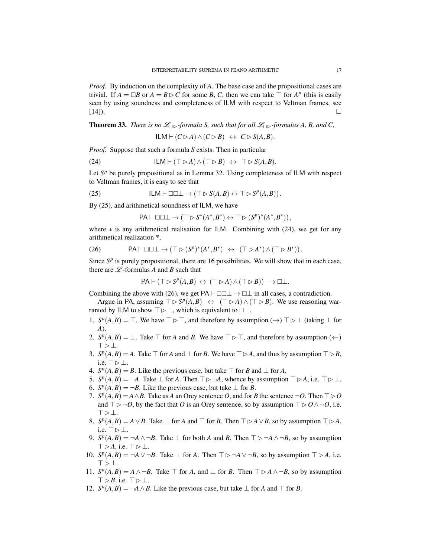*Proof.* By induction on the complexity of A. The base case and the propositional cases are trivial. If  $A = \Box B$  or  $A = B \triangleright C$  for some B, C, then we can take  $\top$  for  $A^p$  (this is easily seen by using soundness and completeness of ILM with respect to Veltman frames, see  $[14]$ ).

**Theorem 33.** *There is no*  $\mathscr{L}_{\Box \triangleright}$ *-formula S, such that for all*  $\mathscr{L}_{\Box \triangleright}$ -formulas A, B, and C,

$$
\mathsf{ILM} \vdash (C \triangleright A) \land (C \triangleright B) \leftrightarrow C \triangleright S(A, B).
$$

*Proof.* Suppose that such a formula *S* exists. Then in particular

(24) 
$$
ILM \vdash (\top \rhd A) \land (\top \rhd B) \leftrightarrow \top \rhd S(A, B).
$$

Let  $S<sup>p</sup>$  be purely propositional as in Lemma 32. Using completeness of ILM with respect to Veltman frames, it is easy to see that

(25) 
$$
\mathsf{ILM} \vdash \Box \Box \bot \rightarrow (\top \rhd S(A,B) \leftrightarrow \top \rhd S^{p}(A,B)).
$$

By (25), and arithmetical soundness of ILM, we have

$$
\mathsf{PA}\vdash \Box\Box\bot \to (\top \rhd S^*(A^*,B^*) \leftrightarrow \top \rhd (S^p)^*(A^*,B^*)),
$$

where  $*$  is any arithmetical realisation for ILM. Combining with (24), we get for any arithmetical realization \*,

(26) 
$$
\mathsf{PA}\vdash \Box\Box\bot \to (\top \rhd (S^p)^*(A^*,B^*) \leftrightarrow (\top \rhd A^*) \wedge (\top \rhd B^*)).
$$

Since  $S<sup>p</sup>$  is purely propositional, there are 16 possibilities. We will show that in each case, there are  $\mathscr{L}$ -formulas *A* and *B* such that

$$
\mathsf{PA}\vdash (\top \rhd S^p(A,B)\leftrightarrow (\top \rhd A)\wedge (\top \rhd B))\rightarrow \Box \bot.
$$

Combining the above with (26), we get PA  $\vdash$   $\Box$  $\bot$   $\rightarrow$   $\Box \bot$  in all cases, a contradiction.

Argue in PA, assuming  $\top \rhd S^p(A, B) \leftrightarrow (\top \rhd A) \wedge (\top \rhd B)$ . We use reasoning warranted by ILM to show  $\top \triangleright \bot$ , which is equivalent to  $\Box \bot$ .

- 1.  $S^p(A,B) = \top$ . We have  $\top \triangleright \top$ , and therefore by assumption (→)  $\top \triangleright \bot$  (taking  $\bot$  for *A*).
- 2.  $S^p(A,B) = \bot$ . Take  $\top$  for *A* and *B*. We have  $\top \triangleright \top$ , and therefore by assumption (←)  $T \triangleright \bot.$
- 3.  $S^p(A,B) = A$ . Take  $\top$  for *A* and  $\bot$  for *B*. We have  $\top \triangleright A$ , and thus by assumption  $\top \triangleright B$ , i.e.  $\top \triangleright \bot$ .
- 4.  $S^p(A, B) = B$ . Like the previous case, but take  $\top$  for *B* and  $\bot$  for *A*.
- 5.  $S^p(A,B) = \neg A$ . Take  $\perp$  for *A*. Then  $\top \triangleright \neg A$ , whence by assumption  $\top \triangleright A$ , i.e.  $\top \triangleright \perp$ .
- 6.  $S^p(A, B) = \neg B$ . Like the previous case, but take  $\perp$  for *B*.
- 7. *S*<sup>*p*</sup>(*A*,*B*) = *A* ∧*B*. Take as *A* an Orey sentence *O*, and for *B* the sentence ¬*O*. Then  $\top$  ⊳ *O* and  $\top \rightarrow \neg O$ , by the fact that *O* is an Orey sentence, so by assumption  $\top \rightarrow O \land \neg O$ , i.e.  $T \triangleright \bot.$
- 8. *S*<sup>*p*</sup>(*A*,*B*) = *A* ∨ *B*. Take ⊥ for *A* and ⊤ for *B*. Then ⊤ ⊳ *A* ∨ *B*, so by assumption ⊤ ⊳ *A*, i.e.  $\top \rhd \bot$ .
- 9. *S*<sup>*p*</sup>(*A*,*B*) = ¬*A* ∧ ¬*B*. Take ⊥ for both *A* and *B*. Then  $\top$  ⊳ ¬*A* ∧ ¬*B*, so by assumption  $\top \triangleright A$ , i.e.  $\top \triangleright \bot$ .
- 10. *S*<sup>*p*</sup>(*A*,*B*) = ¬*A* ∨ ¬*B*. Take ⊥ for *A*. Then  $\top$  ⊳ ¬*A* ∨ ¬*B*, so by assumption  $\top$  ⊳ *A*, i.e. >✄⊥.
- 11. *S*<sup>*p*</sup>(*A*,*B*) = *A* ∧ ¬*B*. Take  $\top$  for *A*, and  $\bot$  for *B*. Then  $\top$  ⊳ *A* ∧ ¬*B*, so by assumption  $\top \triangleright B$ , i.e.  $\top \triangleright \bot$ .
- 12. *S*<sup>*p*</sup>(*A*,*B*) = ¬*A* ∧*B*. Like the previous case, but take ⊥ for *A* and ⊤ for *B*.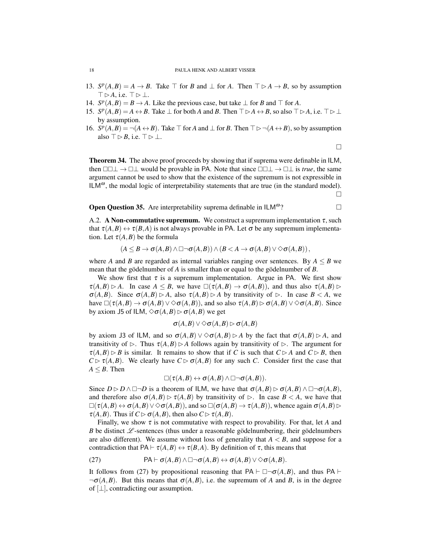- 13.  $S^p(A,B) = A \rightarrow B$ . Take  $\top$  for *B* and  $\bot$  for *A*. Then  $\top \triangleright A \rightarrow B$ , so by assumption  $\top \triangleright A$ , i.e.  $\top \triangleright \bot$ .
- 14.  $S^p(A, B) = B \rightarrow A$ . Like the previous case, but take  $\perp$  for *B* and  $\top$  for *A*.
- 15.  $S^p(A, B) = A \leftrightarrow B$ . Take  $\perp$  for both *A* and *B*. Then  $\top \triangleright A \leftrightarrow B$ , so also  $\top \triangleright A$ , i.e.  $\top \triangleright \perp$ by assumption.
- 16.  $S^p(A, B) = \neg(A \leftrightarrow B)$ . Take  $\top$  for *A* and  $\bot$  for *B*. Then  $\top \rhd \neg(A \leftrightarrow B)$ , so by assumption also  $\top \triangleright B$ , i.e.  $\top \triangleright \bot$ .

 $\Box$ 

 $\Box$ 

**Theorem 34.** The above proof proceeds by showing that if suprema were definable in ILM, then  $\Box\Box\bot \rightarrow \Box\bot$  would be provable in PA. Note that since  $\Box\Box\bot \rightarrow \Box\bot$  is *true*, the same argument cannot be used to show that the existence of the supremum is not expressible in  $ILM<sup>ω</sup>$ , the modal logic of interpretability statements that are true (in the standard model).

**Open Question 35.** Are interpretability suprema definable in  $ILM^{\omega}$ ? ?

A.2. **A Non-commutative supremum.** We construct a supremum implementation  $\tau$ , such that  $\tau(A,B) \leftrightarrow \tau(B,A)$  is not always provable in PA. Let  $\sigma$  be any supremum implementation. Let  $\tau(A,B)$  be the formula

$$
(A \leq B \to \sigma(A,B) \land \Box \neg \sigma(A,B)) \land (B < A \to \sigma(A,B) \lor \Diamond \sigma(A,B)),
$$

where *A* and *B* are regarded as internal variables ranging over sentences. By  $A \leq B$  we mean that the godelnumber of  $\vec{A}$  is smaller than or equal to the godelnumber of  $\vec{B}$ .

We show first that  $\tau$  is a supremum implementation. Argue in PA. We first show  $\tau(A,B) \triangleright A$ . In case  $A \leq B$ , we have  $\Box(\tau(A,B) \rightarrow \sigma(A,B))$ , and thus also  $\tau(A,B) \triangleright$  $\sigma(A,B)$ . Since  $\sigma(A,B) \triangleright A$ , also  $\tau(A,B) \triangleright A$  by transitivity of  $\triangleright$ . In case  $B < A$ , we have  $\Box(\tau(A,B) \rightarrow \sigma(A,B) \vee \Diamond \sigma(A,B))$ , and so also  $\tau(A,B) \triangleright \sigma(A,B) \vee \Diamond \sigma(A,B)$ . Since by axiom J5 of ILM,  $\Diamond \sigma(A,B) \triangleright \sigma(A,B)$  we get

$$
\sigma(A,B) \vee \Diamond \sigma(A,B) \triangleright \sigma(A,B)
$$

by axiom J3 of ILM, and so  $\sigma(A,B) \vee \sigma(A,B) \triangleright A$  by the fact that  $\sigma(A,B) \triangleright A$ , and transitivity of  $\triangleright$ . Thus  $\tau(A,B) \triangleright A$  follows again by transitivity of  $\triangleright$ . The argument for  $\tau(A,B) \triangleright B$  is similar. It remains to show that if *C* is such that  $C \triangleright A$  and  $C \triangleright B$ , then  $C \triangleright \tau(A, B)$ . We clearly have  $C \triangleright \sigma(A, B)$  for any such *C*. Consider first the case that  $A \leq B$ . Then

$$
\Box(\tau(A,B)\leftrightarrow\sigma(A,B)\wedge\Box\neg\sigma(A,B)).
$$

Since  $D \triangleright D \wedge \square \neg D$  is a theorem of ILM, we have that  $\sigma(A,B) \triangleright \sigma(A,B) \wedge \square \neg \sigma(A,B)$ , and therefore also  $\sigma(A,B) \triangleright \tau(A,B)$  by transitivity of  $\triangleright$ . In case  $B < A$ , we have that  $\square(\tau(A,B) \leftrightarrow \sigma(A,B) \vee \Diamond \sigma(A,B))$ , and so  $\square(\sigma(A,B) \rightarrow \tau(A,B))$ , whence again  $\sigma(A,B) \triangleright$  $\tau(A,B)$ . Thus if  $C \triangleright \sigma(A,B)$ , then also  $C \triangleright \tau(A,B)$ .

Finally, we show  $\tau$  is not commutative with respect to provability. For that, let *A* and *B* be distinct  $\mathcal{L}$ -sentences (thus under a reasonable godelnumbering, their godelnumbers are also different). We assume without loss of generality that  $A < B$ , and suppose for a contradiction that  $PA \vdash \tau(A, B) \leftrightarrow \tau(B, A)$ . By definition of  $\tau$ , this means that

(27) 
$$
\mathsf{PA}\vdash \sigma(A,B)\wedge\square\neg\sigma(A,B)\leftrightarrow \sigma(A,B)\vee\Diamond\sigma(A,B).
$$

It follows from (27) by propositional reasoning that  $PA \vdash \Box \neg \sigma(A,B)$ , and thus  $PA \vdash$  $\neg \sigma(A,B)$ . But this means that  $\sigma(A,B)$ , i.e. the supremum of *A* and *B*, is in the degree of [⊥], contradicting our assumption.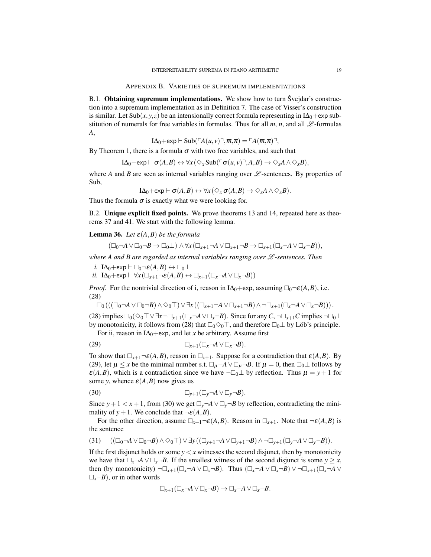APPENDIX B. VARIETIES OF SUPREMUM IMPLEMENTATIONS

B.1. **Obtaining supremum implementations.** We show how to turn Svejdar's construction into a supremum implementation as in Definition 7. The case of Visser's construction is similar. Let Sub $(x, y, z)$  be an intensionally correct formula representing in I $\Delta_0$ +exp substitution of numerals for free variables in formulas. Thus for all  $m$ ,  $n$ , and all  $\mathscr L$ -formulas *A*,

$$
I\Delta_0 + \exp \vdash \text{Sub}(\ulcorner A(u,v) \urcorner, \overline{m}, \overline{n}) = \ulcorner A(\overline{m}, \overline{n}) \urcorner,
$$

By Theorem 1, there is a formula  $\sigma$  with two free variables, and such that

$$
I\Delta_0 + \exp \vdash \sigma(A,B) \leftrightarrow \forall x (\Diamond_x \text{Sub}(\ulcorner \sigma(u,v) \urcorner, A,B) \rightarrow \Diamond_x A \wedge \Diamond_x B),
$$

where *A* and *B* are seen as internal variables ranging over  $\mathscr L$ -sentences. By properties of Sub,

$$
I\Delta_0+\exp \vdash \sigma(A,B)\leftrightarrow \forall x (\Diamond_x \sigma(A,B)\to \Diamond_x A \wedge \Diamond_x B).
$$

Thus the formula  $\sigma$  is exactly what we were looking for.

B.2. Unique explicit fixed points. We prove theorems 13 and 14, repeated here as theorems 37 and 41. We start with the following lemma.

## **Lemma 36.** *Let*  $\varepsilon(A,B)$  *be the formula*

$$
(\Box_0 \neg A \vee \Box_0 \neg B \rightarrow \Box_0 \bot) \wedge \forall x (\Box_{x+1} \neg A \vee \Box_{x+1} \neg B \rightarrow \Box_{x+1} (\Box_x \neg A \vee \Box_x \neg B)),
$$

*where A and B are regarded as internal variables ranging over L*-sentences. Then

- *i.*  $I\Delta_0 + \exp \vdash \Box_0 \neg \varepsilon(A, B) \leftrightarrow \Box_0 \bot$
- *ii.*  $I\Delta_0 + \exp \vdash \forall x (\Box_{x+1} \neg \mathcal{E}(A,B) \leftrightarrow \Box_{x+1}(\Box_x \neg A \vee \Box_x \neg B))$

*Proof.* For the nontrivial direction of i, reason in  $IA_0$ +exp, assuming  $\square_0 \neg \varepsilon(A, B)$ , i.e. (28)

$$
\Box_0\left(\left(\left(\Box_0\neg A \vee \Box_0\neg B\right)\wedge \Diamond_0\top\right) \vee \exists x \left(\left(\Box_{x+1}\neg A \vee \Box_{x+1}\neg B\right)\wedge \neg \Box_{x+1} \left(\Box_x\neg A \vee \Box_x\neg B\right)\right)\right).
$$

(28) implies  $\Box_0(\Diamond_0 \top \lor \exists x \neg \Box_{x+1}(\Box_x \neg A \lor \Box_x \neg B)$ . Since for any *C*,  $\neg \Box_{x+1}C$  implies  $\neg \Box_0 \bot$ by monotonicity, it follows from (28) that  $\Box_0 \Diamond_0 \top$ , and therefore  $\Box_0 \bot$  by Löb's principle.

For ii, reason in I $\Delta_0$ +exp, and let *x* be arbitrary. Assume first

$$
\Box_{x+1}(\Box_x \neg A \vee \Box_x \neg B).
$$

To show that  $\Box_{x+1} \neg \varepsilon(A,B)$ , reason in  $\Box_{x+1}$ . Suppose for a contradiction that  $\varepsilon(A,B)$ . By (29), let  $\mu \leq x$  be the minimal number s.t.  $\Box_{\mu} \neg A \lor \Box_{\mu} \neg B$ . If  $\mu = 0$ , then  $\Box_0 \bot$  follows by  $\varepsilon(A,B)$ , which is a contradiction since we have  $\neg\Box_0 \bot$  by reflection. Thus  $\mu = y + 1$  for some *y*, whence  $\varepsilon(A,B)$  now gives us

$$
\Box_{y+1}(\Box_y \neg A \vee \Box_y \neg B).
$$

Since  $y + 1 < x + 1$ , from (30) we get  $\Box_y \neg A \lor \Box_y \neg B$  by reflection, contradicting the minimality of  $y + 1$ . We conclude that  $\neg \varepsilon(A, B)$ .

For the other direction, assume  $\Box_{x+1} \neg \varepsilon(A,B)$ . Reason in  $\Box_{x+1}$ . Note that  $\neg \varepsilon(A,B)$  is the sentence

$$
(31) \quad ((\Box_0 \neg A \vee \Box_0 \neg B) \wedge \Diamond_0 \top) \vee \exists y ((\Box_{y+1} \neg A \vee \Box_{y+1} \neg B) \wedge \neg \Box_{y+1} (\Box_y \neg A \vee \Box_y \neg B)).
$$

If the first disjunct holds or some  $y \leq x$  witnesses the second disjunct, then by monotonicity we have that  $\Box_x \neg A \lor \Box_x \neg B$ . If the smallest witness of the second disjunct is some  $y \ge x$ , then (by monotonicity)  $\neg\Box_{x+1}(\Box_x\neg A \lor \Box_x\neg B)$ . Thus  $(\Box_x\neg A \lor \Box_x\neg B) \lor \neg\Box_{x+1}(\Box_x\neg A \lor \Box_x\neg B)$  $\Box_r \neg B$ , or in other words

$$
\Box_{x+1}(\Box_x \neg A \vee \Box_x \neg B) \to \Box_x \neg A \vee \Box_x \neg B.
$$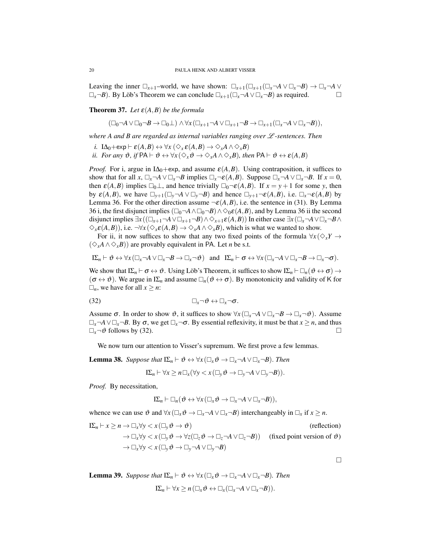Leaving the inner  $\Box_{x+1}$ –world, we have shown:  $\Box_{x+1}(\Box_{x+1}(\Box_x \neg A \lor \Box_x \neg B) \to \Box_x \neg A \lor \Box_x \neg B)$  $\Box_x \neg B$ ). By Löb's Theorem we can conclude  $\Box_{x+1}(\Box_x \neg A \lor \Box_x \neg B)$  as required.  $□$ 

**Theorem 37.** Let  $\varepsilon(A,B)$  be the formula

 $(\Box_0 \neg A \lor \Box_0 \neg B \to \Box_0 \bot) \land \forall x (\Box_{x+1} \neg A \lor \Box_{x+1} \neg B \to \Box_{x+1} (\Box_x \neg A \lor \Box_x \neg B)),$ 

*where A and B are regarded as internal variables ranging over*  $\mathcal{L}$ *-sentences. Then* 

- *i.*  $I\Delta_0 + \exp \vdash \varepsilon(A,B) \leftrightarrow \forall x (\Diamond_x \varepsilon(A,B) \to \Diamond_x A \land \Diamond_x B)$
- *ii. For any*  $\vartheta$ *, if*  $PA \vdash \vartheta \leftrightarrow \forall x (\Diamond_x \vartheta \to \Diamond_x A \land \Diamond_x B)$ *, then*  $PA \vdash \vartheta \leftrightarrow \varepsilon(A, B)$

*Proof.* For i, argue in I $\Delta_0$ +exp, and assume  $\varepsilon(A,B)$ . Using contraposition, it suffices to show that for all  $x$ ,  $\Box_x \neg A \lor \Box_x \neg B$  implies  $\Box_x \neg \varepsilon(A, B)$ . Suppose  $\Box_x \neg A \lor \Box_x \neg B$ . If  $x = 0$ , then  $\varepsilon(A,B)$  implies  $\square_0 \bot$ , and hence trivially  $\square_0 \neg \varepsilon(A,B)$ . If  $x = y + 1$  for some *y*, then by  $\varepsilon(A,B)$ , we have  $\Box_{v+1}(\Box_v \neg A \lor \Box_v \neg B)$  and hence  $\Box_{v+1} \neg \varepsilon(A,B)$ , i.e.  $\Box_x \neg \varepsilon(A,B)$  by Lemma 36. For the other direction assume  $\neg \varepsilon(A,B)$ , i.e. the sentence in (31). By Lemma 36 i, the first disjunct implies  $(\Box_0 \neg A \land \Box_0 \neg B) \land \Diamond_0 \varepsilon(A, B)$ , and by Lemma 36 ii the second disjunct implies  $\exists x ((\Box_{x+1} \neg A \lor \Box_{x+1} \neg B) \land \Diamond_{x+1} \varepsilon(A,B))$  In either case  $\exists x (\Box_x \neg A \lor \Box_x \neg B \land \Box_x \neg B \land \Box_x \neg B)$  $\Diamond_{x} \varepsilon(A,B)$ ), i.e.  $\neg \forall x (\Diamond_{x} \varepsilon(A,B) \rightarrow \Diamond_{x} A \wedge \Diamond_{x} B)$ , which is what we wanted to show.

For ii, it now suffices to show that any two fixed points of the formula  $\forall x (\Diamond_{x} Y \rightarrow$  $(\Diamond_{x} A \land \Diamond_{x} B)$  are provably equivalent in PA. Let *n* be s.t.

$$
I\Sigma_n \vdash \vartheta \leftrightarrow \forall x (\Box_x \neg A \lor \Box_x \neg B \to \Box_x \neg \vartheta) \text{ and } I\Sigma_n \vdash \sigma \leftrightarrow \forall x (\Box_x \neg A \lor \Box_x \neg B \to \Box_x \neg \sigma).
$$

We show that  $I\Sigma_n \vdash \sigma \leftrightarrow \vartheta$ . Using Löb's Theorem, it suffices to show  $I\Sigma_n \vdash \Box_n(\vartheta \leftrightarrow \sigma) \rightarrow$  $(\sigma \leftrightarrow \vartheta)$ . We argue in I $\Sigma_n$  and assume  $\square_n(\vartheta \leftrightarrow \sigma)$ . By monotonicity and validity of K for  $\Box_n$ , we have for all  $x > n$ :

$$
\Box_x \neg \vartheta \leftrightarrow \Box_x \neg \sigma.
$$

Assume  $\sigma$ . In order to show  $\vartheta$ , it suffices to show  $\forall x (\Box_x \neg A \lor \Box_x \neg B \to \Box_x \neg \vartheta)$ . Assume  $\Box_x \neg A \lor \Box_x \neg B$ . By  $\sigma$ , we get  $\Box_x \neg \sigma$ . By essential reflexivity, it must be that  $x \ge n$ , and thus  $\Box_{\rm r} \neg \vartheta$  follows by (32).

We now turn our attention to Visser's supremum. We first prove a few lemmas.

**Lemma 38.** Suppose that  $I\Sigma_n \vdash \vartheta \leftrightarrow \forall x (\square_x \vartheta \to \square_x \neg A \lor \square_x \neg B)$ . Then

$$
\mathrm{I}\Sigma_n \vdash \forall x \geq n \Box_x (\forall y < x \left( \Box_y \vartheta \to \Box_y \neg A \vee \Box_y \neg B \right)).
$$

*Proof.* By necessitation,

$$
\mathrm{I}\Sigma_n \vdash \Box_n(\vartheta \leftrightarrow \forall x (\Box_x \vartheta \to \Box_x \neg A \vee \Box_x \neg B)),
$$

whence we can use  $\vartheta$  and  $\forall x (\Box_x \vartheta \to \Box_x \neg A \lor \Box_x \neg B)$  interchangeably in  $\Box_x$  if  $x \geq n$ .

$$
\begin{aligned}\n\text{I}\Sigma_n \vdash x \ge n \to \Box_x \forall y < x \left( \Box_y \vartheta \to \vartheta \right) & \text{(reflection)} \\
&\to \Box_x \forall y < x \left( \Box_y \vartheta \to \forall z (\Box_z \vartheta \to \Box_z \neg A \lor \Box_z \neg B) \right) & \text{(fixed point version of } \vartheta) \\
&\to \Box_x \forall y < x \left( \Box_y \vartheta \to \Box_y \neg A \lor \Box_y \neg B \right)\n\end{aligned}
$$

**Lemma 39.** Suppose that  $I\Sigma_n \vdash \vartheta \leftrightarrow \forall x (\square_x \vartheta \rightarrow \square_x \neg A \vee \square_x \neg B)$ . Then  $I\Sigma_n \vdash \forall x \geq n (\Box_r \vartheta \leftrightarrow \Box_r (\Box_r \neg A \vee \Box_r \neg B)).$ 

 $\Box$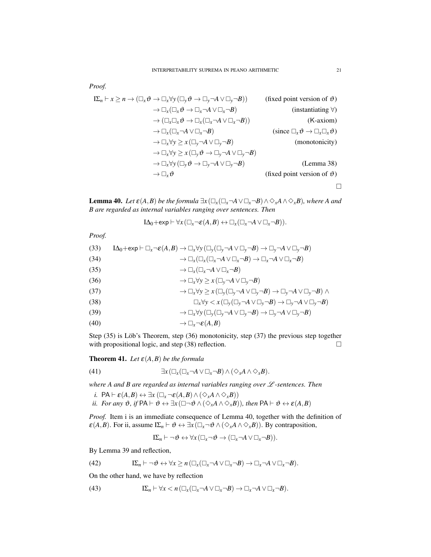$$
I\Sigma_n \vdash x \ge n \to (\Box_x \vartheta \to \Box_x \forall y (\Box_y \vartheta \to \Box_y \neg A \lor \Box_y \neg B)) \qquad \text{(fixed point version of } \vartheta)
$$
  
\n
$$
\to \Box_x (\Box_x \vartheta \to \Box_x \neg A \lor \Box_x \neg B) \qquad \text{(instantiating } \forall)
$$
  
\n
$$
\to (\Box_x \Box_x \vartheta \to \Box_x (\Box_x \neg A \lor \Box_x \neg B)) \qquad \text{(K-axiom)}
$$
  
\n
$$
\to \Box_x (\Box_x \neg A \lor \Box_x \neg B) \qquad \text{(since } \Box_x \vartheta \to \Box_x \Box_x \vartheta)
$$
  
\n
$$
\to \Box_x \forall y \ge x (\Box_y \neg A \lor \Box_y \neg B) \qquad \text{(monotonicity)}
$$
  
\n
$$
\to \Box_x \forall y (\Box_y \vartheta \to \Box_y \neg A \lor \Box_y \neg B) \qquad \text{(Lemma 38)}
$$
  
\n
$$
\to \Box_x \vartheta \qquad \text{(fixed point version of } \vartheta)
$$

**Lemma 40.** *Let*  $\varepsilon(A,B)$  *be the formula*  $\exists x (\Box_x (\Box_x \neg A \lor \Box_x \neg B) \land \Diamond_x A \land \Diamond_x B)$ *, where* A and *B are regarded as internal variables ranging over sentences. Then*

$$
I\Delta_0 + \exp \vdash \forall x (\Box_x \neg \varepsilon(A,B) \leftrightarrow \Box_x (\Box_x \neg A \vee \Box_x \neg B)).
$$

*Proof.*

(33) 
$$
I\Delta_0 + \exp \vdash \Box_x \neg \varepsilon(A, B) \to \Box_x \forall y (\Box_y (\Box_y \neg A \lor \Box_y \neg B) \to \Box_y \neg A \lor \Box_y \neg B)
$$

$$
\to \Box_x (\Box_x (\Box_x \neg A \lor \Box_x \neg B) \to \Box_x \neg A \lor \Box_x \neg B)
$$

$$
\to (\Box_x (\Box_x \neg A \lor \Box_x \neg B) \to \Box_x \neg A \lor \Box_x \neg B)
$$

$$
\rightarrow \Box_x (\Box_x \neg A \vee \Box_x \neg B)
$$

(36) 
$$
\rightarrow \Box_x \forall y \geq x (\Box_y \neg A \vee \Box_y \neg B)
$$

(37) 
$$
\rightarrow \Box_x \forall y \geq x (\Box_y (\Box_y \neg A \vee \Box_y \neg B) \rightarrow \Box_y \neg A \vee \Box_y \neg B) \wedge
$$

(38) 
$$
\Box_x \forall y < x (\Box_y (\Box_y \neg A \lor \Box_y \neg B) \to \Box_y \neg A \lor \Box_y \neg B)
$$

(39) 
$$
\rightarrow \Box_x \forall y (\Box_y (\Box_y \neg A \lor \Box_y \neg B) \rightarrow \Box_y \neg A \lor \Box_y \neg B)
$$

$$
(40) \qquad \qquad \rightarrow \Box_x \neg \varepsilon(A,B)
$$

Step  $(35)$  is Löb's Theorem, step  $(36)$  monotonicity, step  $(37)$  the previous step together with propositional logic, and step (38) reflection.  $\Box$ 

# **Theorem 41.** Let  $\varepsilon(A,B)$  be the formula

(41) 
$$
\exists x (\Box_x (\Box_x \neg A \vee \Box_x \neg B) \wedge (\Diamond_x A \wedge \Diamond_x B).
$$

*where A and B are regarded as internal variables ranging over*  $\mathcal{L}$ *-sentences. Then* 

- *i.*  $PA \vdash \varepsilon(A,B) \leftrightarrow \exists x (\Box_x \neg \varepsilon(A,B) \land (\Diamond_x A \land \Diamond_x B))$
- *ii. For any*  $\vartheta$ *, if*  $PA \vdash \vartheta \leftrightarrow \exists x (\Box \neg \vartheta \land (\Diamond_x A \land \Diamond_x B))$ *, then*  $PA \vdash \vartheta \leftrightarrow \varepsilon(A, B)$

*Proof.* Item i is an immediate consequence of Lemma 40, together with the definition of  $\varepsilon(A,B)$ . For ii, assume  $\overline{\mathrm{I}\Sigma_n} \vdash \vartheta \leftrightarrow \exists x (\square_x \neg \vartheta \land (\Diamond_x A \land \Diamond_x B))$ . By contraposition,

$$
I\Sigma_n \vdash \neg \vartheta \leftrightarrow \forall x (\Box_x \neg \vartheta \to (\Box_x \neg A \vee \Box_x \neg B)).
$$

By Lemma 39 and reflection,

(42) 
$$
I\Sigma_n \vdash \neg \vartheta \leftrightarrow \forall x \geq n (\Box_x (\Box_x \neg A \vee \Box_x \neg B) \to \Box_x \neg A \vee \Box_x \neg B).
$$

On the other hand, we have by reflection

(43) 
$$
\mathbb{I}\Sigma_n \vdash \forall x < n\left(\Box_x(\Box_x \neg A \lor \Box_x \neg B) \to \Box_x \neg A \lor \Box_x \neg B\right).
$$

 $\Box$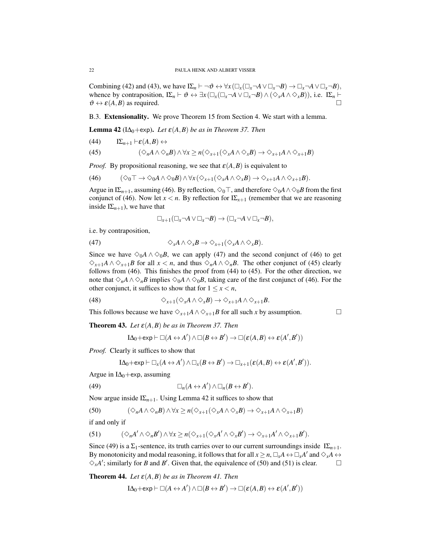Combining (42) and (43), we have  $I\Sigma_n$   $\vdash \neg \vartheta \leftrightarrow \forall x (\Box_x (\Box_x \neg A \lor \Box_x \neg B) \to \Box_x \neg A \lor \Box_x \neg B)$ , whence by contraposition,  $I\Sigma_n \vdash \vartheta \leftrightarrow \exists x (\square_x (\square_x \neg A \vee \square_x \neg B) \wedge (\Diamond_x A \wedge \Diamond_x B))$ , i.e.  $I\Sigma_n \vdash$  $\vartheta \leftrightarrow \varepsilon(A,B)$  as required.

B.3. Extensionality. We prove Theorem 15 from Section 4. We start with a lemma.

**Lemma 42** ( $I\Delta_0$ +exp). Let  $\varepsilon(A,B)$  be as in Theorem 37. Then

$$
(44) \qquad \mathbf{I}\Sigma_{n+1} \vdash \varepsilon(A,B) \leftrightarrow
$$

(45) 
$$
(\Diamond_n A \land \Diamond_n B) \land \forall x \geq n (\Diamond_{x+1} (\Diamond_x A \land \Diamond_x B) \to \Diamond_{x+1} A \land \Diamond_{x+1} B)
$$

*Proof.* By propositional reasoning, we see that  $\varepsilon(A,B)$  is equivalent to

$$
(46) \qquad (\Diamond_0 \top \to \Diamond_0 A \land \Diamond_0 B) \land \forall x (\Diamond_{x+1} (\Diamond_x A \land \Diamond_x B) \to \Diamond_{x+1} A \land \Diamond_{x+1} B).
$$

Argue in I $\Sigma_{n+1}$ , assuming (46). By reflection,  $\Diamond_0 \top$ , and therefore  $\Diamond_0 A \land \Diamond_0 B$  from the first conjunct of (46). Now let  $x < n$ . By reflection for  $\sum_{x+1}$  (remember that we are reasoning inside  $I\Sigma_{n+1}$ ), we have that

$$
\Box_{x+1}(\Box_x \neg A \vee \Box_x \neg B) \to (\Box_x \neg A \vee \Box_x \neg B),
$$

i.e. by contraposition,

(47) 
$$
\Diamond_x A \land \Diamond_x B \to \Diamond_{x+1} (\Diamond_x A \land \Diamond_x B).
$$

Since we have  $\Diamond_0 A \land \Diamond_0 B$ , we can apply (47) and the second conjunct of (46) to get  $\diamondsuit_{x+1}A \wedge \diamondsuit_{x+1}B$  for all *x* < *n*, and thus  $\diamondsuit_nA \wedge \diamondsuit_nB$ . The other conjunct of (45) clearly follows from (46). This finishes the proof from (44) to (45). For the other direction, we note that  $\Diamond_n A \land \Diamond_n B$  implies  $\Diamond_0 A \land \Diamond_0 B$ , taking care of the first conjunct of (46). For the other conjunct, it suffices to show that for  $1 \leq x \leq n$ ,

(48) 
$$
\Diamond_{x+1}(\Diamond_x A \land \Diamond_x B) \to \Diamond_{x+1} A \land \Diamond_{x+1} B.
$$

This follows because we have  $\diamondsuit_{x+1}A \wedge \diamondsuit_{x+1}B$  for all such *x* by assumption.

**Theorem 43.** Let  $\varepsilon(A,B)$  be as in Theorem 37. Then

$$
I\Delta_0 + \exp \vdash \Box(A \leftrightarrow A') \land \Box(B \leftrightarrow B') \rightarrow \Box(\varepsilon(A, B) \leftrightarrow \varepsilon(A', B'))
$$

*Proof.* Clearly it suffices to show that

$$
I\Delta_0 + \exp \vdash \Box_x (A \leftrightarrow A') \wedge \Box_x (B \leftrightarrow B') \rightarrow \Box_{x+1} (\varepsilon(A,B) \leftrightarrow \varepsilon(A',B')).
$$

Argue in I $\Delta_0$ +exp, assuming

(49) 
$$
\Box_n(A \leftrightarrow A') \wedge \Box_n(B \leftrightarrow B').
$$

Now argue inside  $I\Sigma_{n+1}$ . Using Lemma 42 it suffices to show that

(50) 
$$
(\Diamond_n A \land \Diamond_n B) \land \forall x \geq n (\Diamond_{x+1} (\Diamond_x A \land \Diamond_x B) \to \Diamond_{x+1} A \land \Diamond_{x+1} B)
$$

if and only if

(51) 
$$
(\Diamond_n A' \land \Diamond_n B') \land \forall x \geq n (\Diamond_{x+1} (\Diamond_x A' \land \Diamond_x B') \to \Diamond_{x+1} A' \land \Diamond_{x+1} B').
$$

Since (49) is a  $\Sigma_1$ -sentence, its truth carries over to our current surroundings inside  $I\Sigma_{n+1}$ . By monotonicity and modal reasoning, it follows that for all  $x \ge n$ ,  $\Box_x A \leftrightarrow \Box_x A'$  and  $\Diamond_x A \leftrightarrow \Diamond_x A$  $\Diamond_x A'$ ; similarly for *B* and *B'*. Given that, the equivalence of (50) and (51) is clear.

**Theorem 44.** Let  $\varepsilon(A,B)$  be as in Theorem 41. Then

$$
I\Delta_0 + \exp \vdash \Box(A \leftrightarrow A') \wedge \Box(B \leftrightarrow B') \rightarrow \Box (\varepsilon(A,B) \leftrightarrow \varepsilon(A',B'))
$$